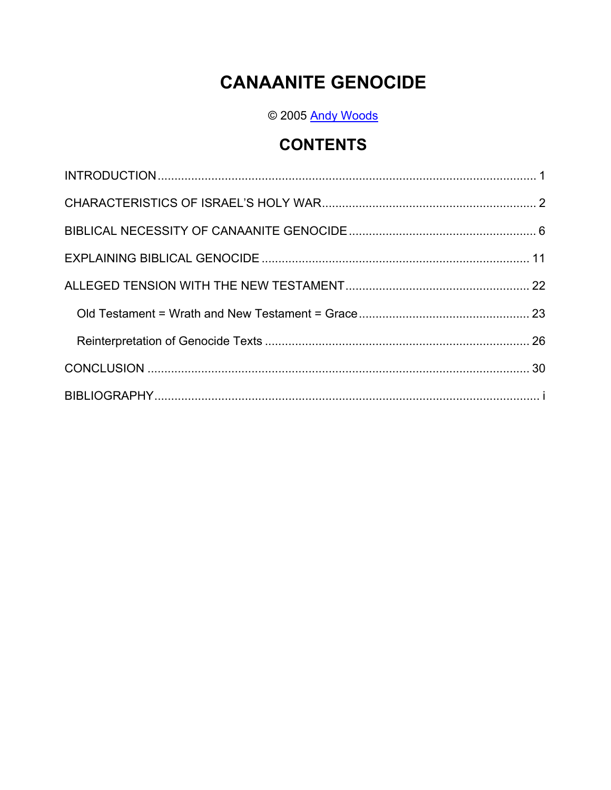# **CANAANITE GENOCIDE**

© 2005 Andy Woods

## **CONTENTS**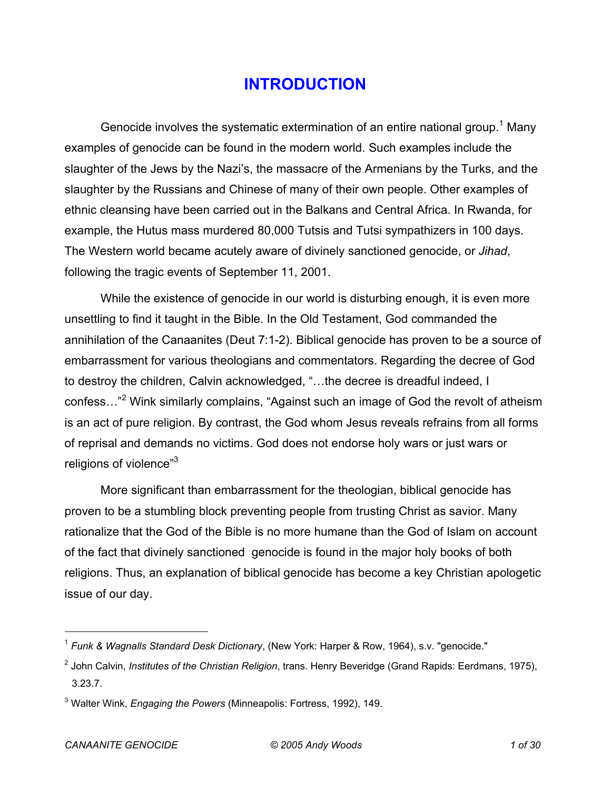### **INTRODUCTION**

Genocide involves the systematic extermination of an entire national group.<sup>1</sup> Many examples of genocide can be found in the modern world. Such examples include the slaughter of the Jews by the Nazi's, the massacre of the Armenians by the Turks, and the slaughter by the Russians and Chinese of many of their own people. Other examples of ethnic cleansing have been carried out in the Balkans and Central Africa. In Rwanda, for example, the Hutus mass murdered 80,000 Tutsis and Tutsi sympathizers in 100 days. The Western world became acutely aware of divinely sanctioned genocide, or *Jihad*, following the tragic events of September 11, 2001.

While the existence of genocide in our world is disturbing enough, it is even more unsettling to find it taught in the Bible. In the Old Testament, God commanded the annihilation of the Canaanites (Deut 7:1-2). Biblical genocide has proven to be a source of embarrassment for various theologians and commentators. Regarding the decree of God to destroy the children, Calvin acknowledged, "…the decree is dreadful indeed, I confess..."<sup>2</sup> Wink similarly complains, "Against such an image of God the revolt of atheism is an act of pure religion. By contrast, the God whom Jesus reveals refrains from all forms of reprisal and demands no victims. God does not endorse holy wars or just wars or religions of violence"3

More significant than embarrassment for the theologian, biblical genocide has proven to be a stumbling block preventing people from trusting Christ as savior. Many rationalize that the God of the Bible is no more humane than the God of Islam on account of the fact that divinely sanctioned genocide is found in the major holy books of both religions. Thus, an explanation of biblical genocide has become a key Christian apologetic issue of our day.

<sup>1</sup> *Funk & Wagnalls Standard Desk Dictionary*, (New York: Harper & Row, 1964), s.v. "genocide."

<sup>2</sup> John Calvin, *Institutes of the Christian Religion*, trans. Henry Beveridge (Grand Rapids: Eerdmans, 1975), 3.23.7.

<sup>3</sup> Walter Wink, *Engaging the Powers* (Minneapolis: Fortress, 1992), 149.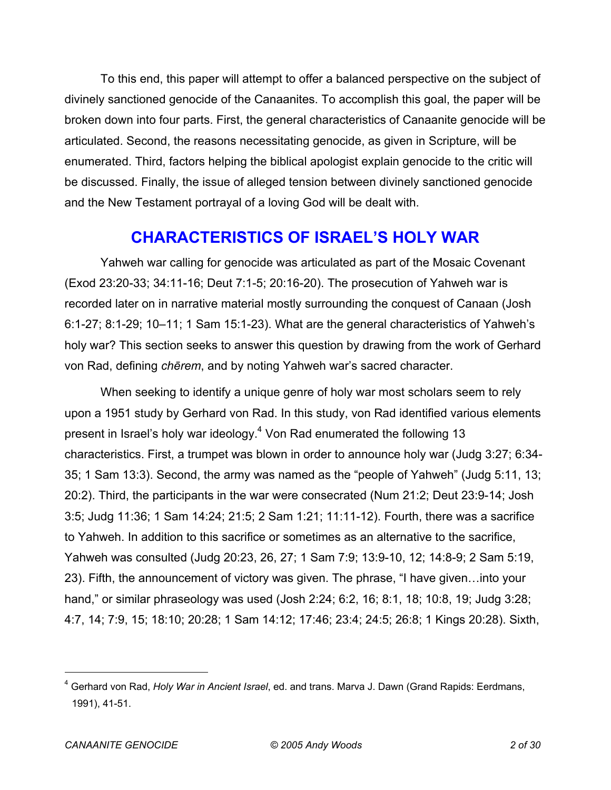To this end, this paper will attempt to offer a balanced perspective on the subject of divinely sanctioned genocide of the Canaanites. To accomplish this goal, the paper will be broken down into four parts. First, the general characteristics of Canaanite genocide will be articulated. Second, the reasons necessitating genocide, as given in Scripture, will be enumerated. Third, factors helping the biblical apologist explain genocide to the critic will be discussed. Finally, the issue of alleged tension between divinely sanctioned genocide and the New Testament portrayal of a loving God will be dealt with.

## **CHARACTERISTICS OF ISRAEL'S HOLY WAR**

Yahweh war calling for genocide was articulated as part of the Mosaic Covenant (Exod 23:20-33; 34:11-16; Deut 7:1-5; 20:16-20). The prosecution of Yahweh war is recorded later on in narrative material mostly surrounding the conquest of Canaan (Josh 6:1-27; 8:1-29; 10–11; 1 Sam 15:1-23). What are the general characteristics of Yahweh's holy war? This section seeks to answer this question by drawing from the work of Gerhard von Rad, defining *chērem*, and by noting Yahweh war's sacred character.

When seeking to identify a unique genre of holy war most scholars seem to rely upon a 1951 study by Gerhard von Rad. In this study, von Rad identified various elements present in Israel's holy war ideology.<sup>4</sup> Von Rad enumerated the following 13 characteristics. First, a trumpet was blown in order to announce holy war (Judg 3:27; 6:34- 35; 1 Sam 13:3). Second, the army was named as the "people of Yahweh" (Judg 5:11, 13; 20:2). Third, the participants in the war were consecrated (Num 21:2; Deut 23:9-14; Josh 3:5; Judg 11:36; 1 Sam 14:24; 21:5; 2 Sam 1:21; 11:11-12). Fourth, there was a sacrifice to Yahweh. In addition to this sacrifice or sometimes as an alternative to the sacrifice, Yahweh was consulted (Judg 20:23, 26, 27; 1 Sam 7:9; 13:9-10, 12; 14:8-9; 2 Sam 5:19, 23). Fifth, the announcement of victory was given. The phrase, "I have given…into your hand," or similar phraseology was used (Josh 2:24; 6:2, 16; 8:1, 18; 10:8, 19; Judg 3:28; 4:7, 14; 7:9, 15; 18:10; 20:28; 1 Sam 14:12; 17:46; 23:4; 24:5; 26:8; 1 Kings 20:28). Sixth,

<sup>4</sup> Gerhard von Rad, *Holy War in Ancient Israel*, ed. and trans. Marva J. Dawn (Grand Rapids: Eerdmans, 1991), 41-51.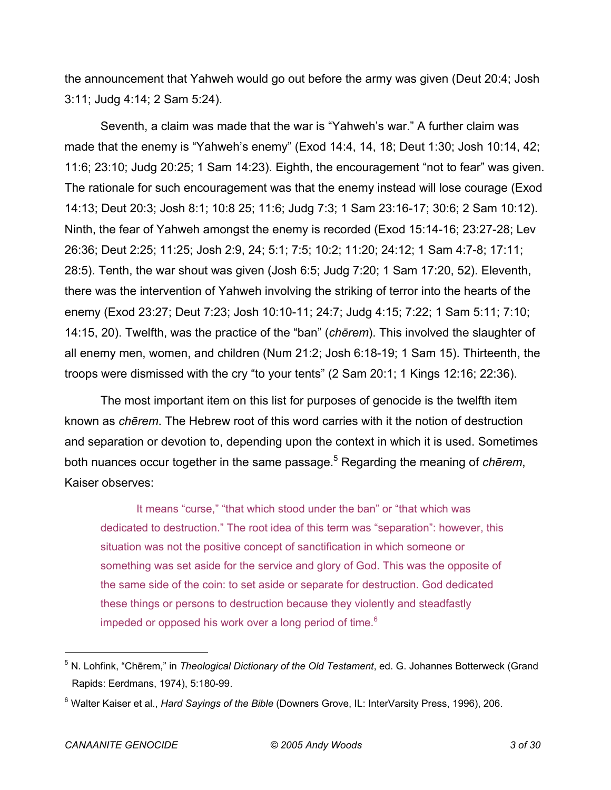the announcement that Yahweh would go out before the army was given (Deut 20:4; Josh 3:11; Judg 4:14; 2 Sam 5:24).

Seventh, a claim was made that the war is "Yahweh's war." A further claim was made that the enemy is "Yahweh's enemy" (Exod 14:4, 14, 18; Deut 1:30; Josh 10:14, 42; 11:6; 23:10; Judg 20:25; 1 Sam 14:23). Eighth, the encouragement "not to fear" was given. The rationale for such encouragement was that the enemy instead will lose courage (Exod 14:13; Deut 20:3; Josh 8:1; 10:8 25; 11:6; Judg 7:3; 1 Sam 23:16-17; 30:6; 2 Sam 10:12). Ninth, the fear of Yahweh amongst the enemy is recorded (Exod 15:14-16; 23:27-28; Lev 26:36; Deut 2:25; 11:25; Josh 2:9, 24; 5:1; 7:5; 10:2; 11:20; 24:12; 1 Sam 4:7-8; 17:11; 28:5). Tenth, the war shout was given (Josh 6:5; Judg 7:20; 1 Sam 17:20, 52). Eleventh, there was the intervention of Yahweh involving the striking of terror into the hearts of the enemy (Exod 23:27; Deut 7:23; Josh 10:10-11; 24:7; Judg 4:15; 7:22; 1 Sam 5:11; 7:10; 14:15, 20). Twelfth, was the practice of the "ban" (*chērem*). This involved the slaughter of all enemy men, women, and children (Num 21:2; Josh 6:18-19; 1 Sam 15). Thirteenth, the troops were dismissed with the cry "to your tents" (2 Sam 20:1; 1 Kings 12:16; 22:36).

The most important item on this list for purposes of genocide is the twelfth item known as *chērem*. The Hebrew root of this word carries with it the notion of destruction and separation or devotion to, depending upon the context in which it is used. Sometimes both nuances occur together in the same passage.5 Regarding the meaning of *chērem*, Kaiser observes:

It means "curse," "that which stood under the ban" or "that which was dedicated to destruction." The root idea of this term was "separation": however, this situation was not the positive concept of sanctification in which someone or something was set aside for the service and glory of God. This was the opposite of the same side of the coin: to set aside or separate for destruction. God dedicated these things or persons to destruction because they violently and steadfastly impeded or opposed his work over a long period of time.<sup>6</sup>

<sup>5</sup> N. Lohfink, "Chērem," in *Theological Dictionary of the Old Testament*, ed. G. Johannes Botterweck (Grand Rapids: Eerdmans, 1974), 5:180-99.

<sup>6</sup> Walter Kaiser et al., *Hard Sayings of the Bible* (Downers Grove, IL: InterVarsity Press, 1996), 206.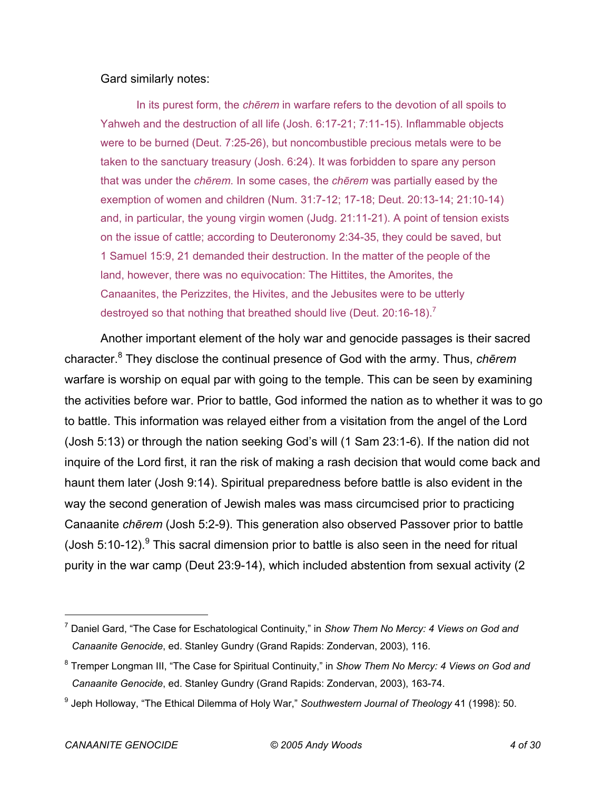#### Gard similarly notes:

In its purest form, the *chērem* in warfare refers to the devotion of all spoils to Yahweh and the destruction of all life (Josh. 6:17-21; 7:11-15). Inflammable objects were to be burned (Deut. 7:25-26), but noncombustible precious metals were to be taken to the sanctuary treasury (Josh. 6:24). It was forbidden to spare any person that was under the *chērem*. In some cases, the *chērem* was partially eased by the exemption of women and children (Num. 31:7-12; 17-18; Deut. 20:13-14; 21:10-14) and, in particular, the young virgin women (Judg. 21:11-21). A point of tension exists on the issue of cattle; according to Deuteronomy 2:34-35, they could be saved, but 1 Samuel 15:9, 21 demanded their destruction. In the matter of the people of the land, however, there was no equivocation: The Hittites, the Amorites, the Canaanites, the Perizzites, the Hivites, and the Jebusites were to be utterly destroyed so that nothing that breathed should live (Deut. 20:16-18).<sup>7</sup>

Another important element of the holy war and genocide passages is their sacred character.8 They disclose the continual presence of God with the army. Thus, *chērem* warfare is worship on equal par with going to the temple. This can be seen by examining the activities before war. Prior to battle, God informed the nation as to whether it was to go to battle. This information was relayed either from a visitation from the angel of the Lord (Josh 5:13) or through the nation seeking God's will (1 Sam 23:1-6). If the nation did not inquire of the Lord first, it ran the risk of making a rash decision that would come back and haunt them later (Josh 9:14). Spiritual preparedness before battle is also evident in the way the second generation of Jewish males was mass circumcised prior to practicing Canaanite *chērem* (Josh 5:2-9). This generation also observed Passover prior to battle (Josh 5:10-12).  $9$  This sacral dimension prior to battle is also seen in the need for ritual purity in the war camp (Deut 23:9-14), which included abstention from sexual activity (2

<sup>7</sup> Daniel Gard, "The Case for Eschatological Continuity," in *Show Them No Mercy: 4 Views on God and Canaanite Genocide*, ed. Stanley Gundry (Grand Rapids: Zondervan, 2003), 116.

<sup>8</sup> Tremper Longman III, "The Case for Spiritual Continuity," in *Show Them No Mercy: 4 Views on God and Canaanite Genocide*, ed. Stanley Gundry (Grand Rapids: Zondervan, 2003), 163-74.

<sup>9</sup> Jeph Holloway, "The Ethical Dilemma of Holy War," *Southwestern Journal of Theology* 41 (1998): 50.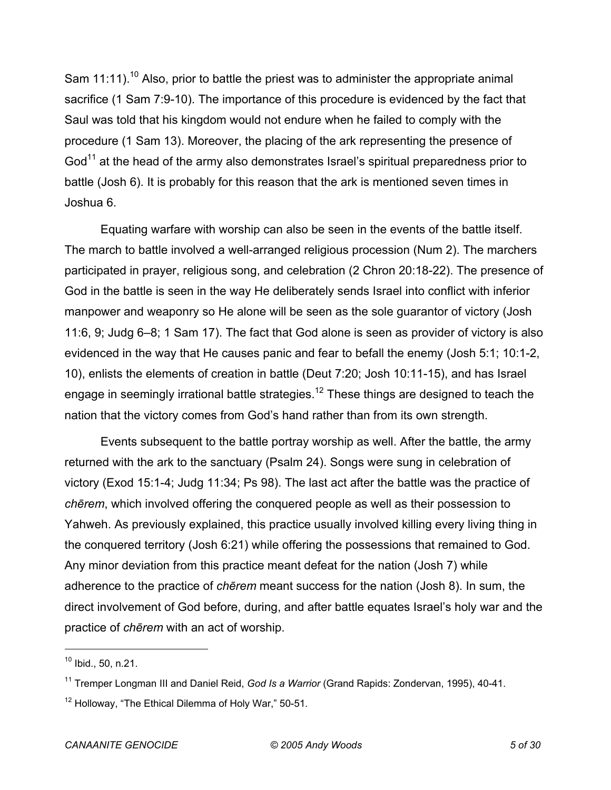Sam 11:11).<sup>10</sup> Also, prior to battle the priest was to administer the appropriate animal sacrifice (1 Sam 7:9-10). The importance of this procedure is evidenced by the fact that Saul was told that his kingdom would not endure when he failed to comply with the procedure (1 Sam 13). Moreover, the placing of the ark representing the presence of God<sup>11</sup> at the head of the army also demonstrates Israel's spiritual preparedness prior to battle (Josh 6). It is probably for this reason that the ark is mentioned seven times in Joshua 6.

Equating warfare with worship can also be seen in the events of the battle itself. The march to battle involved a well-arranged religious procession (Num 2). The marchers participated in prayer, religious song, and celebration (2 Chron 20:18-22). The presence of God in the battle is seen in the way He deliberately sends Israel into conflict with inferior manpower and weaponry so He alone will be seen as the sole guarantor of victory (Josh 11:6, 9; Judg 6–8; 1 Sam 17). The fact that God alone is seen as provider of victory is also evidenced in the way that He causes panic and fear to befall the enemy (Josh 5:1; 10:1-2, 10), enlists the elements of creation in battle (Deut 7:20; Josh 10:11-15), and has Israel engage in seemingly irrational battle strategies.<sup>12</sup> These things are designed to teach the nation that the victory comes from God's hand rather than from its own strength.

Events subsequent to the battle portray worship as well. After the battle, the army returned with the ark to the sanctuary (Psalm 24). Songs were sung in celebration of victory (Exod 15:1-4; Judg 11:34; Ps 98). The last act after the battle was the practice of *chērem*, which involved offering the conquered people as well as their possession to Yahweh. As previously explained, this practice usually involved killing every living thing in the conquered territory (Josh 6:21) while offering the possessions that remained to God. Any minor deviation from this practice meant defeat for the nation (Josh 7) while adherence to the practice of *chērem* meant success for the nation (Josh 8). In sum, the direct involvement of God before, during, and after battle equates Israel's holy war and the practice of *chērem* with an act of worship.

 $10$  Ibid., 50, n.21.

<sup>11</sup> Tremper Longman III and Daniel Reid, *God Is a Warrior* (Grand Rapids: Zondervan, 1995), 40-41.

<sup>&</sup>lt;sup>12</sup> Holloway, "The Ethical Dilemma of Holy War," 50-51.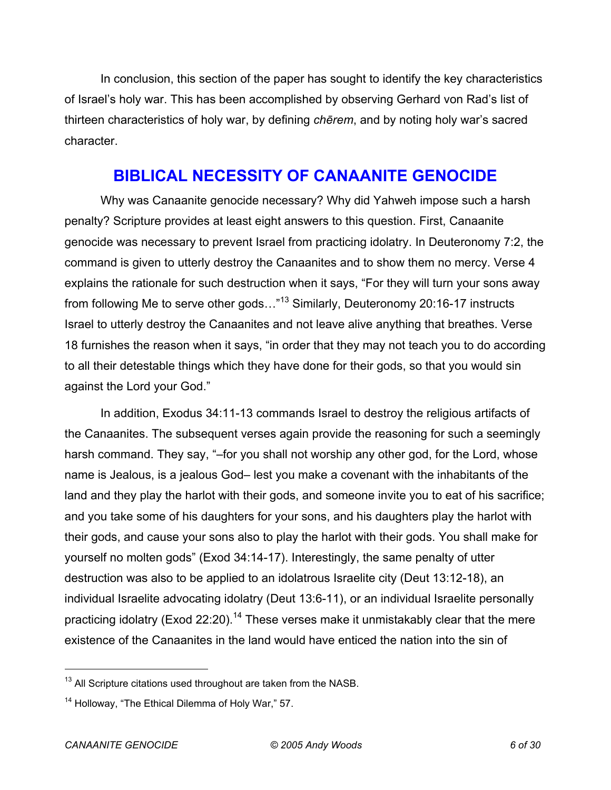In conclusion, this section of the paper has sought to identify the key characteristics of Israel's holy war. This has been accomplished by observing Gerhard von Rad's list of thirteen characteristics of holy war, by defining *chērem*, and by noting holy war's sacred character.

#### **BIBLICAL NECESSITY OF CANAANITE GENOCIDE**

Why was Canaanite genocide necessary? Why did Yahweh impose such a harsh penalty? Scripture provides at least eight answers to this question. First, Canaanite genocide was necessary to prevent Israel from practicing idolatry. In Deuteronomy 7:2, the command is given to utterly destroy the Canaanites and to show them no mercy. Verse 4 explains the rationale for such destruction when it says, "For they will turn your sons away from following Me to serve other gods..."<sup>13</sup> Similarly, Deuteronomy 20:16-17 instructs Israel to utterly destroy the Canaanites and not leave alive anything that breathes. Verse 18 furnishes the reason when it says, "in order that they may not teach you to do according to all their detestable things which they have done for their gods, so that you would sin against the Lord your God."

In addition, Exodus 34:11-13 commands Israel to destroy the religious artifacts of the Canaanites. The subsequent verses again provide the reasoning for such a seemingly harsh command. They say, "-for you shall not worship any other god, for the Lord, whose name is Jealous, is a jealous God– lest you make a covenant with the inhabitants of the land and they play the harlot with their gods, and someone invite you to eat of his sacrifice; and you take some of his daughters for your sons, and his daughters play the harlot with their gods, and cause your sons also to play the harlot with their gods. You shall make for yourself no molten gods" (Exod 34:14-17). Interestingly, the same penalty of utter destruction was also to be applied to an idolatrous Israelite city (Deut 13:12-18), an individual Israelite advocating idolatry (Deut 13:6-11), or an individual Israelite personally practicing idolatry (Exod 22:20).<sup>14</sup> These verses make it unmistakably clear that the mere existence of the Canaanites in the land would have enticed the nation into the sin of

 $13$  All Scripture citations used throughout are taken from the NASB.

 $14$  Holloway, "The Ethical Dilemma of Holy War," 57.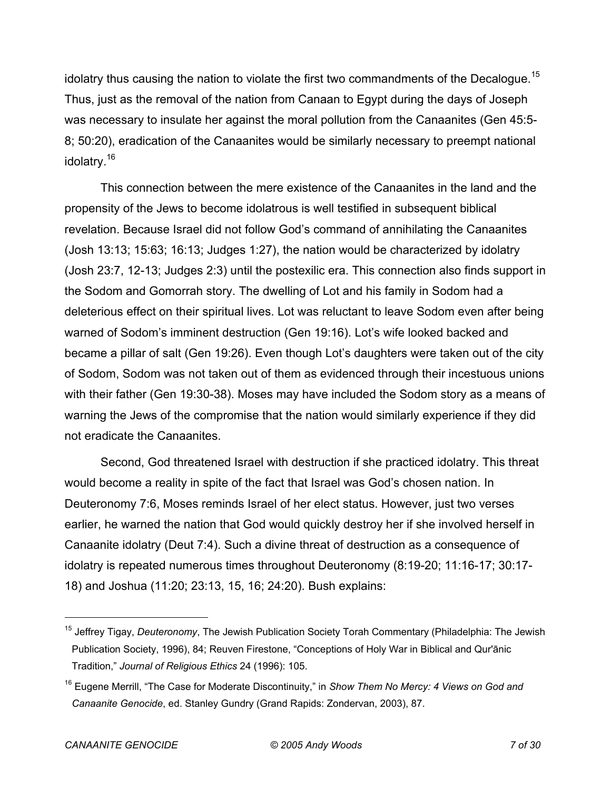idolatry thus causing the nation to violate the first two commandments of the Decalogue.<sup>15</sup> Thus, just as the removal of the nation from Canaan to Egypt during the days of Joseph was necessary to insulate her against the moral pollution from the Canaanites (Gen 45:5- 8; 50:20), eradication of the Canaanites would be similarly necessary to preempt national idolatry.<sup>16</sup>

This connection between the mere existence of the Canaanites in the land and the propensity of the Jews to become idolatrous is well testified in subsequent biblical revelation. Because Israel did not follow God's command of annihilating the Canaanites (Josh 13:13; 15:63; 16:13; Judges 1:27), the nation would be characterized by idolatry (Josh 23:7, 12-13; Judges 2:3) until the postexilic era. This connection also finds support in the Sodom and Gomorrah story. The dwelling of Lot and his family in Sodom had a deleterious effect on their spiritual lives. Lot was reluctant to leave Sodom even after being warned of Sodom's imminent destruction (Gen 19:16). Lot's wife looked backed and became a pillar of salt (Gen 19:26). Even though Lot's daughters were taken out of the city of Sodom, Sodom was not taken out of them as evidenced through their incestuous unions with their father (Gen 19:30-38). Moses may have included the Sodom story as a means of warning the Jews of the compromise that the nation would similarly experience if they did not eradicate the Canaanites.

Second, God threatened Israel with destruction if she practiced idolatry. This threat would become a reality in spite of the fact that Israel was God's chosen nation. In Deuteronomy 7:6, Moses reminds Israel of her elect status. However, just two verses earlier, he warned the nation that God would quickly destroy her if she involved herself in Canaanite idolatry (Deut 7:4). Such a divine threat of destruction as a consequence of idolatry is repeated numerous times throughout Deuteronomy (8:19-20; 11:16-17; 30:17- 18) and Joshua (11:20; 23:13, 15, 16; 24:20). Bush explains:

<sup>15</sup> Jeffrey Tigay, *Deuteronomy*, The Jewish Publication Society Torah Commentary (Philadelphia: The Jewish Publication Society, 1996), 84; Reuven Firestone, "Conceptions of Holy War in Biblical and Qur'ānic Tradition," *Journal of Religious Ethics* 24 (1996): 105.

<sup>16</sup> Eugene Merrill, "The Case for Moderate Discontinuity," in *Show Them No Mercy: 4 Views on God and Canaanite Genocide*, ed. Stanley Gundry (Grand Rapids: Zondervan, 2003), 87.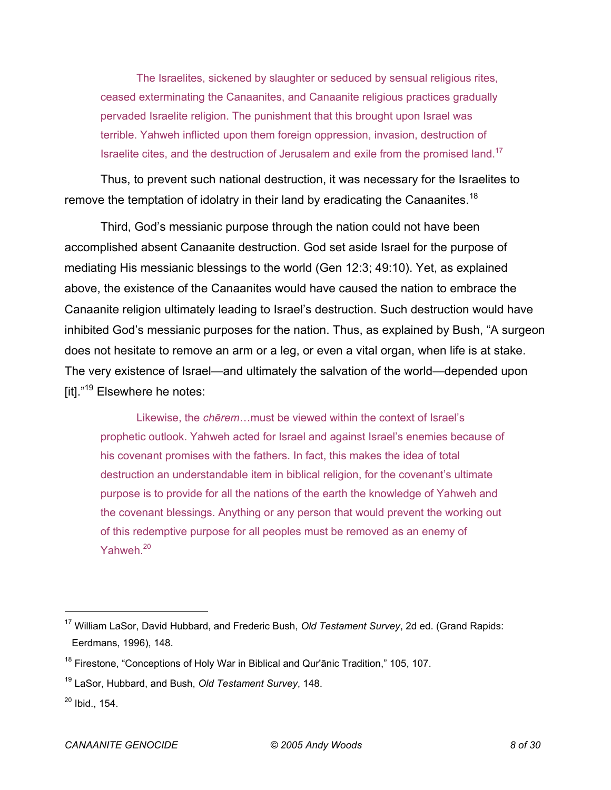The Israelites, sickened by slaughter or seduced by sensual religious rites, ceased exterminating the Canaanites, and Canaanite religious practices gradually pervaded Israelite religion. The punishment that this brought upon Israel was terrible. Yahweh inflicted upon them foreign oppression, invasion, destruction of Israelite cites, and the destruction of Jerusalem and exile from the promised land.<sup>17</sup>

Thus, to prevent such national destruction, it was necessary for the Israelites to remove the temptation of idolatry in their land by eradicating the Canaanites.<sup>18</sup>

Third, God's messianic purpose through the nation could not have been accomplished absent Canaanite destruction. God set aside Israel for the purpose of mediating His messianic blessings to the world (Gen 12:3; 49:10). Yet, as explained above, the existence of the Canaanites would have caused the nation to embrace the Canaanite religion ultimately leading to Israel's destruction. Such destruction would have inhibited God's messianic purposes for the nation. Thus, as explained by Bush, "A surgeon does not hesitate to remove an arm or a leg, or even a vital organ, when life is at stake. The very existence of Israel—and ultimately the salvation of the world—depended upon [it]."19 Elsewhere he notes:

Likewise, the *chērem*…must be viewed within the context of Israel's prophetic outlook. Yahweh acted for Israel and against Israel's enemies because of his covenant promises with the fathers. In fact, this makes the idea of total destruction an understandable item in biblical religion, for the covenant's ultimate purpose is to provide for all the nations of the earth the knowledge of Yahweh and the covenant blessings. Anything or any person that would prevent the working out of this redemptive purpose for all peoples must be removed as an enemy of Yahweh.<sup>20</sup>

<sup>17</sup> William LaSor, David Hubbard, and Frederic Bush, *Old Testament Survey*, 2d ed. (Grand Rapids: Eerdmans, 1996), 148.

<sup>&</sup>lt;sup>18</sup> Firestone, "Conceptions of Holy War in Biblical and Qur'ānic Tradition," 105, 107.

<sup>19</sup> LaSor, Hubbard, and Bush, *Old Testament Survey*, 148.

 $20$  Ibid., 154.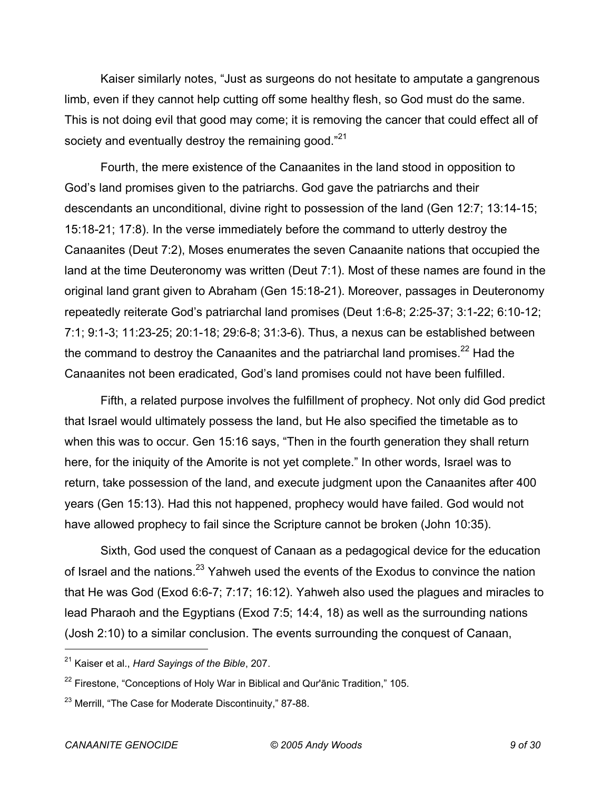Kaiser similarly notes, "Just as surgeons do not hesitate to amputate a gangrenous limb, even if they cannot help cutting off some healthy flesh, so God must do the same. This is not doing evil that good may come; it is removing the cancer that could effect all of society and eventually destroy the remaining good."<sup>21</sup>

Fourth, the mere existence of the Canaanites in the land stood in opposition to God's land promises given to the patriarchs. God gave the patriarchs and their descendants an unconditional, divine right to possession of the land (Gen 12:7; 13:14-15; 15:18-21; 17:8). In the verse immediately before the command to utterly destroy the Canaanites (Deut 7:2), Moses enumerates the seven Canaanite nations that occupied the land at the time Deuteronomy was written (Deut 7:1). Most of these names are found in the original land grant given to Abraham (Gen 15:18-21). Moreover, passages in Deuteronomy repeatedly reiterate God's patriarchal land promises (Deut 1:6-8; 2:25-37; 3:1-22; 6:10-12; 7:1; 9:1-3; 11:23-25; 20:1-18; 29:6-8; 31:3-6). Thus, a nexus can be established between the command to destroy the Canaanites and the patriarchal land promises. $^{22}$  Had the Canaanites not been eradicated, God's land promises could not have been fulfilled.

Fifth, a related purpose involves the fulfillment of prophecy. Not only did God predict that Israel would ultimately possess the land, but He also specified the timetable as to when this was to occur. Gen 15:16 says, "Then in the fourth generation they shall return here, for the iniquity of the Amorite is not yet complete." In other words, Israel was to return, take possession of the land, and execute judgment upon the Canaanites after 400 years (Gen 15:13). Had this not happened, prophecy would have failed. God would not have allowed prophecy to fail since the Scripture cannot be broken (John 10:35).

Sixth, God used the conquest of Canaan as a pedagogical device for the education of Israel and the nations.<sup>23</sup> Yahweh used the events of the Exodus to convince the nation that He was God (Exod 6:6-7; 7:17; 16:12). Yahweh also used the plagues and miracles to lead Pharaoh and the Egyptians (Exod 7:5; 14:4, 18) as well as the surrounding nations (Josh 2:10) to a similar conclusion. The events surrounding the conquest of Canaan,

<sup>21</sup> Kaiser et al., *Hard Sayings of the Bible*, 207.

 $22$  Firestone, "Conceptions of Holy War in Biblical and Qur'anic Tradition," 105.

<sup>&</sup>lt;sup>23</sup> Merrill, "The Case for Moderate Discontinuity," 87-88.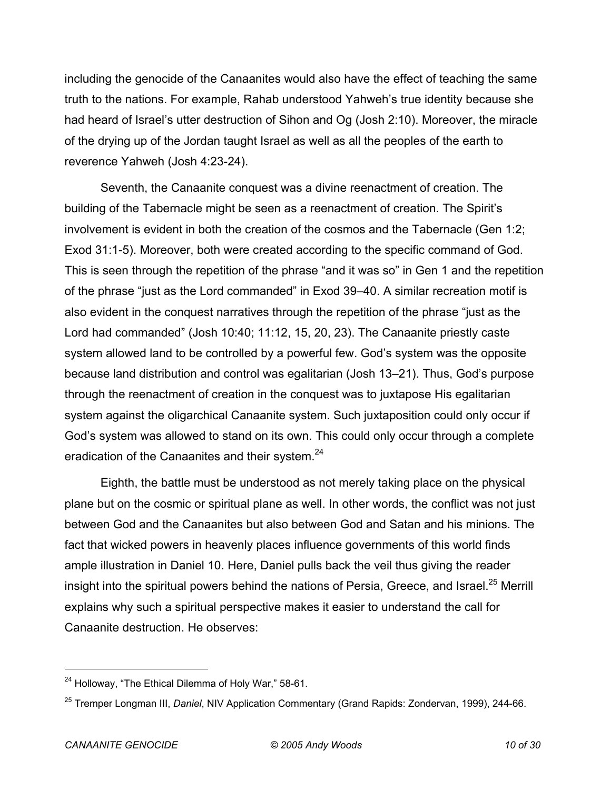including the genocide of the Canaanites would also have the effect of teaching the same truth to the nations. For example, Rahab understood Yahweh's true identity because she had heard of Israel's utter destruction of Sihon and Og (Josh 2:10). Moreover, the miracle of the drying up of the Jordan taught Israel as well as all the peoples of the earth to reverence Yahweh (Josh 4:23-24).

Seventh, the Canaanite conquest was a divine reenactment of creation. The building of the Tabernacle might be seen as a reenactment of creation. The Spirit's involvement is evident in both the creation of the cosmos and the Tabernacle (Gen 1:2; Exod 31:1-5). Moreover, both were created according to the specific command of God. This is seen through the repetition of the phrase "and it was so" in Gen 1 and the repetition of the phrase "just as the Lord commanded" in Exod 39–40. A similar recreation motif is also evident in the conquest narratives through the repetition of the phrase "just as the Lord had commanded" (Josh 10:40; 11:12, 15, 20, 23). The Canaanite priestly caste system allowed land to be controlled by a powerful few. God's system was the opposite because land distribution and control was egalitarian (Josh 13–21). Thus, God's purpose through the reenactment of creation in the conquest was to juxtapose His egalitarian system against the oligarchical Canaanite system. Such juxtaposition could only occur if God's system was allowed to stand on its own. This could only occur through a complete eradication of the Canaanites and their system.<sup>24</sup>

Eighth, the battle must be understood as not merely taking place on the physical plane but on the cosmic or spiritual plane as well. In other words, the conflict was not just between God and the Canaanites but also between God and Satan and his minions. The fact that wicked powers in heavenly places influence governments of this world finds ample illustration in Daniel 10. Here, Daniel pulls back the veil thus giving the reader insight into the spiritual powers behind the nations of Persia, Greece, and Israel.<sup>25</sup> Merrill explains why such a spiritual perspective makes it easier to understand the call for Canaanite destruction. He observes:

<sup>&</sup>lt;sup>24</sup> Holloway, "The Ethical Dilemma of Holy War," 58-61.

<sup>25</sup> Tremper Longman III, *Daniel*, NIV Application Commentary (Grand Rapids: Zondervan, 1999), 244-66.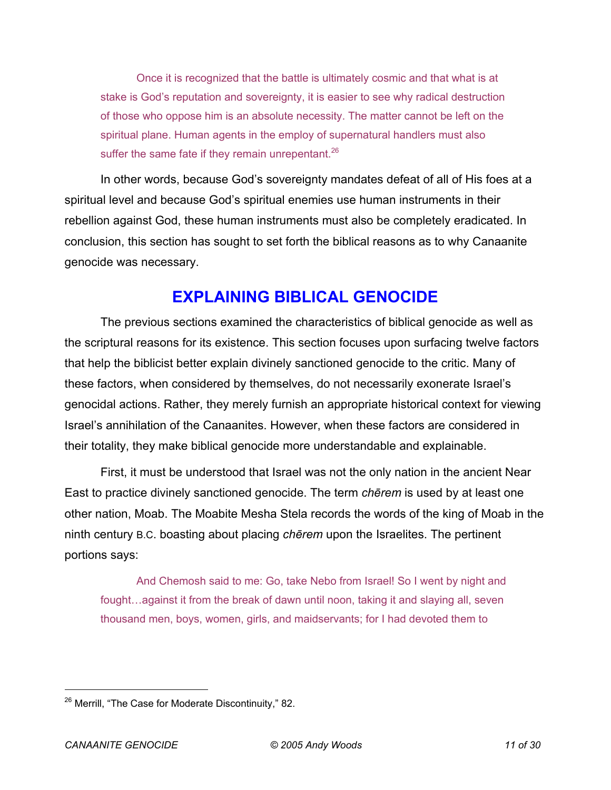Once it is recognized that the battle is ultimately cosmic and that what is at stake is God's reputation and sovereignty, it is easier to see why radical destruction of those who oppose him is an absolute necessity. The matter cannot be left on the spiritual plane. Human agents in the employ of supernatural handlers must also suffer the same fate if they remain unrepentant. $26$ 

In other words, because God's sovereignty mandates defeat of all of His foes at a spiritual level and because God's spiritual enemies use human instruments in their rebellion against God, these human instruments must also be completely eradicated. In conclusion, this section has sought to set forth the biblical reasons as to why Canaanite genocide was necessary.

#### **EXPLAINING BIBLICAL GENOCIDE**

The previous sections examined the characteristics of biblical genocide as well as the scriptural reasons for its existence. This section focuses upon surfacing twelve factors that help the biblicist better explain divinely sanctioned genocide to the critic. Many of these factors, when considered by themselves, do not necessarily exonerate Israel's genocidal actions. Rather, they merely furnish an appropriate historical context for viewing Israel's annihilation of the Canaanites. However, when these factors are considered in their totality, they make biblical genocide more understandable and explainable.

First, it must be understood that Israel was not the only nation in the ancient Near East to practice divinely sanctioned genocide. The term *chērem* is used by at least one other nation, Moab. The Moabite Mesha Stela records the words of the king of Moab in the ninth century B.C. boasting about placing *chērem* upon the Israelites. The pertinent portions says:

And Chemosh said to me: Go, take Nebo from Israel! So I went by night and fought…against it from the break of dawn until noon, taking it and slaying all, seven thousand men, boys, women, girls, and maidservants; for I had devoted them to

<sup>&</sup>lt;sup>26</sup> Merrill, "The Case for Moderate Discontinuity," 82.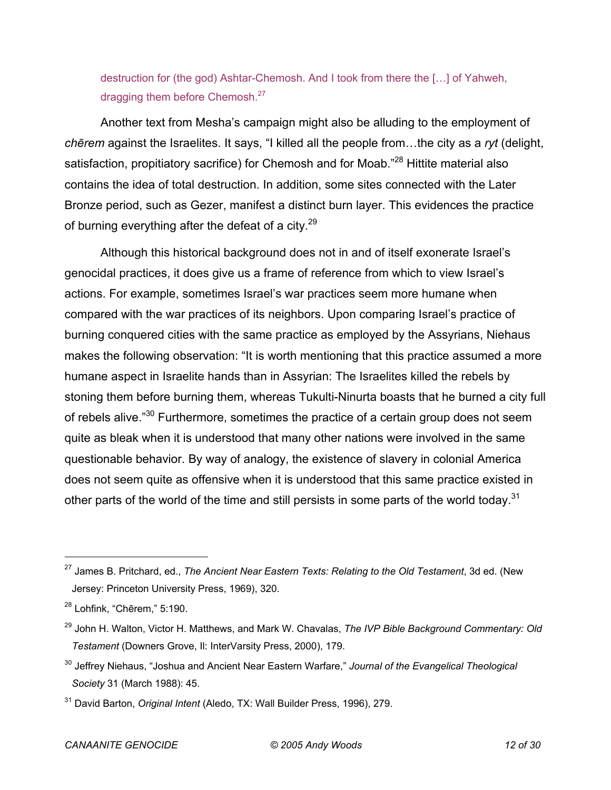destruction for (the god) Ashtar-Chemosh. And I took from there the […] of Yahweh, dragging them before Chemosh.<sup>27</sup>

Another text from Mesha's campaign might also be alluding to the employment of *chērem* against the Israelites. It says, "I killed all the people from…the city as a *ryt* (delight, satisfaction, propitiatory sacrifice) for Chemosh and for Moab."<sup>28</sup> Hittite material also contains the idea of total destruction. In addition, some sites connected with the Later Bronze period, such as Gezer, manifest a distinct burn layer. This evidences the practice of burning everything after the defeat of a city. $29$ 

Although this historical background does not in and of itself exonerate Israel's genocidal practices, it does give us a frame of reference from which to view Israel's actions. For example, sometimes Israel's war practices seem more humane when compared with the war practices of its neighbors. Upon comparing Israel's practice of burning conquered cities with the same practice as employed by the Assyrians, Niehaus makes the following observation: "It is worth mentioning that this practice assumed a more humane aspect in Israelite hands than in Assyrian: The Israelites killed the rebels by stoning them before burning them, whereas Tukulti-Ninurta boasts that he burned a city full of rebels alive."<sup>30</sup> Furthermore, sometimes the practice of a certain group does not seem quite as bleak when it is understood that many other nations were involved in the same questionable behavior. By way of analogy, the existence of slavery in colonial America does not seem quite as offensive when it is understood that this same practice existed in other parts of the world of the time and still persists in some parts of the world today.<sup>31</sup>

<sup>27</sup> James B. Pritchard, ed., *The Ancient Near Eastern Texts: Relating to the Old Testament*, 3d ed. (New Jersey: Princeton University Press, 1969), 320.

 $28$  Lohfink, "Chērem," 5:190.

<sup>29</sup> John H. Walton, Victor H. Matthews, and Mark W. Chavalas, *The IVP Bible Background Commentary: Old Testament* (Downers Grove, Il: InterVarsity Press, 2000), 179.

<sup>30</sup> Jeffrey Niehaus, "Joshua and Ancient Near Eastern Warfare," *Journal of the Evangelical Theological Society* 31 (March 1988): 45.

<sup>31</sup> David Barton, *Original Intent* (Aledo, TX: Wall Builder Press, 1996), 279.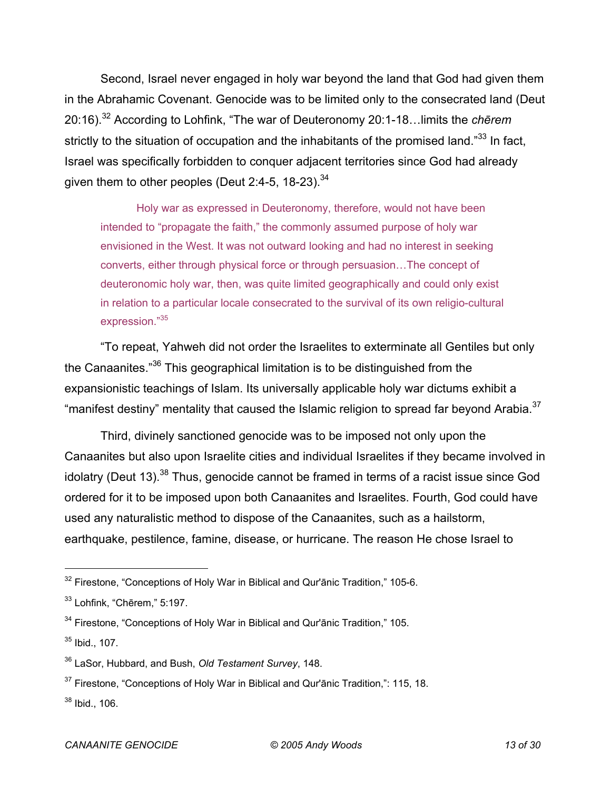Second, Israel never engaged in holy war beyond the land that God had given them in the Abrahamic Covenant. Genocide was to be limited only to the consecrated land (Deut 20:16).32 According to Lohfink, "The war of Deuteronomy 20:1-18…limits the *chērem* strictly to the situation of occupation and the inhabitants of the promised land." $33$  In fact, Israel was specifically forbidden to conquer adjacent territories since God had already given them to other peoples (Deut 2:4-5, 18-23).  $34$ 

Holy war as expressed in Deuteronomy, therefore, would not have been intended to "propagate the faith," the commonly assumed purpose of holy war envisioned in the West. It was not outward looking and had no interest in seeking converts, either through physical force or through persuasion…The concept of deuteronomic holy war, then, was quite limited geographically and could only exist in relation to a particular locale consecrated to the survival of its own religio-cultural expression."35

"To repeat, Yahweh did not order the Israelites to exterminate all Gentiles but only the Canaanites."36 This geographical limitation is to be distinguished from the expansionistic teachings of Islam. Its universally applicable holy war dictums exhibit a "manifest destiny" mentality that caused the Islamic religion to spread far beyond Arabia.<sup>37</sup>

Third, divinely sanctioned genocide was to be imposed not only upon the Canaanites but also upon Israelite cities and individual Israelites if they became involved in idolatry (Deut 13).<sup>38</sup> Thus, genocide cannot be framed in terms of a racist issue since God ordered for it to be imposed upon both Canaanites and Israelites. Fourth, God could have used any naturalistic method to dispose of the Canaanites, such as a hailstorm, earthquake, pestilence, famine, disease, or hurricane. The reason He chose Israel to

 $32$  Firestone, "Conceptions of Holy War in Biblical and Qur'anic Tradition," 105-6.

 $33$  Lohfink, "Chērem," 5:197.

<sup>&</sup>lt;sup>34</sup> Firestone, "Conceptions of Holy War in Biblical and Qur'ānic Tradition," 105.

<sup>35</sup> Ibid., 107.

<sup>36</sup> LaSor, Hubbard, and Bush, *Old Testament Survey*, 148.

 $37$  Firestone, "Conceptions of Holy War in Biblical and Qur'anic Tradition,": 115, 18.

 $38$  Ibid., 106.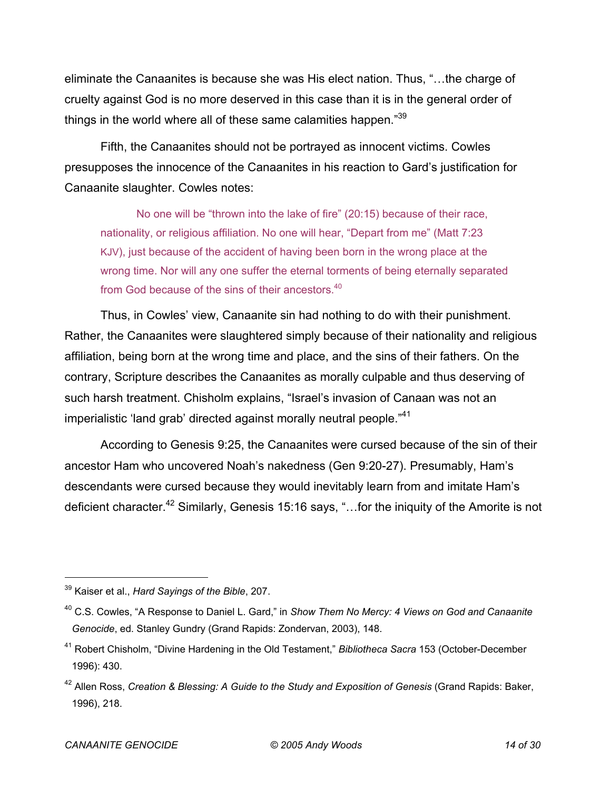eliminate the Canaanites is because she was His elect nation. Thus, "…the charge of cruelty against God is no more deserved in this case than it is in the general order of things in the world where all of these same calamities happen."39

Fifth, the Canaanites should not be portrayed as innocent victims. Cowles presupposes the innocence of the Canaanites in his reaction to Gard's justification for Canaanite slaughter. Cowles notes:

No one will be "thrown into the lake of fire" (20:15) because of their race, nationality, or religious affiliation. No one will hear, "Depart from me" (Matt 7:23 KJV), just because of the accident of having been born in the wrong place at the wrong time. Nor will any one suffer the eternal torments of being eternally separated from God because of the sins of their ancestors.<sup>40</sup>

Thus, in Cowles' view, Canaanite sin had nothing to do with their punishment. Rather, the Canaanites were slaughtered simply because of their nationality and religious affiliation, being born at the wrong time and place, and the sins of their fathers. On the contrary, Scripture describes the Canaanites as morally culpable and thus deserving of such harsh treatment. Chisholm explains, "Israel's invasion of Canaan was not an imperialistic 'land grab' directed against morally neutral people."<sup>41</sup>

According to Genesis 9:25, the Canaanites were cursed because of the sin of their ancestor Ham who uncovered Noah's nakedness (Gen 9:20-27). Presumably, Ham's descendants were cursed because they would inevitably learn from and imitate Ham's deficient character.<sup>42</sup> Similarly, Genesis 15:16 says, "...for the iniquity of the Amorite is not

<sup>39</sup> Kaiser et al., *Hard Sayings of the Bible*, 207.

<sup>40</sup> C.S. Cowles, "A Response to Daniel L. Gard," in *Show Them No Mercy: 4 Views on God and Canaanite Genocide*, ed. Stanley Gundry (Grand Rapids: Zondervan, 2003), 148.

<sup>41</sup> Robert Chisholm, "Divine Hardening in the Old Testament," *Bibliotheca Sacra* 153 (October-December 1996): 430.

<sup>42</sup> Allen Ross, *Creation & Blessing: A Guide to the Study and Exposition of Genesis* (Grand Rapids: Baker, 1996), 218.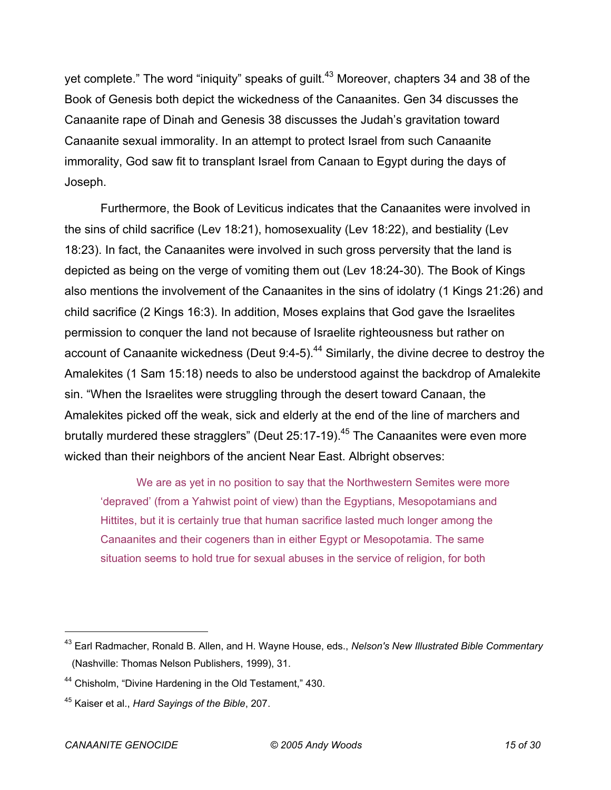yet complete." The word "iniquity" speaks of quilt.<sup>43</sup> Moreover, chapters 34 and 38 of the Book of Genesis both depict the wickedness of the Canaanites. Gen 34 discusses the Canaanite rape of Dinah and Genesis 38 discusses the Judah's gravitation toward Canaanite sexual immorality. In an attempt to protect Israel from such Canaanite immorality, God saw fit to transplant Israel from Canaan to Egypt during the days of Joseph.

Furthermore, the Book of Leviticus indicates that the Canaanites were involved in the sins of child sacrifice (Lev 18:21), homosexuality (Lev 18:22), and bestiality (Lev 18:23). In fact, the Canaanites were involved in such gross perversity that the land is depicted as being on the verge of vomiting them out (Lev 18:24-30). The Book of Kings also mentions the involvement of the Canaanites in the sins of idolatry (1 Kings 21:26) and child sacrifice (2 Kings 16:3). In addition, Moses explains that God gave the Israelites permission to conquer the land not because of Israelite righteousness but rather on account of Canaanite wickedness (Deut 9:4-5).<sup>44</sup> Similarly, the divine decree to destroy the Amalekites (1 Sam 15:18) needs to also be understood against the backdrop of Amalekite sin. "When the Israelites were struggling through the desert toward Canaan, the Amalekites picked off the weak, sick and elderly at the end of the line of marchers and brutally murdered these stragglers" (Deut  $25:17-19$ ).<sup>45</sup> The Canaanites were even more wicked than their neighbors of the ancient Near East. Albright observes:

We are as yet in no position to say that the Northwestern Semites were more 'depraved' (from a Yahwist point of view) than the Egyptians, Mesopotamians and Hittites, but it is certainly true that human sacrifice lasted much longer among the Canaanites and their cogeners than in either Egypt or Mesopotamia. The same situation seems to hold true for sexual abuses in the service of religion, for both

<sup>43</sup> Earl Radmacher, Ronald B. Allen, and H. Wayne House, eds., *Nelson's New Illustrated Bible Commentary* (Nashville: Thomas Nelson Publishers, 1999), 31.

<sup>&</sup>lt;sup>44</sup> Chisholm, "Divine Hardening in the Old Testament," 430.

<sup>45</sup> Kaiser et al., *Hard Sayings of the Bible*, 207.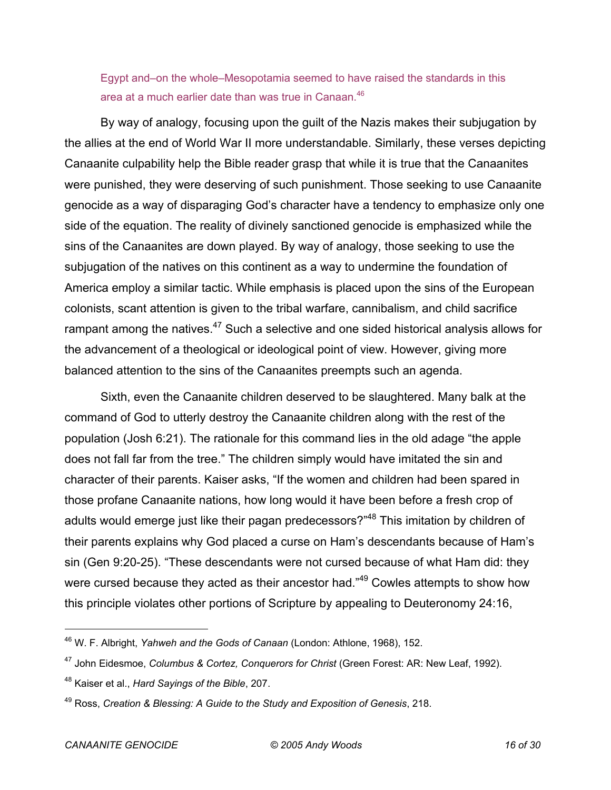Egypt and–on the whole–Mesopotamia seemed to have raised the standards in this area at a much earlier date than was true in Canaan.<sup>46</sup>

By way of analogy, focusing upon the guilt of the Nazis makes their subjugation by the allies at the end of World War II more understandable. Similarly, these verses depicting Canaanite culpability help the Bible reader grasp that while it is true that the Canaanites were punished, they were deserving of such punishment. Those seeking to use Canaanite genocide as a way of disparaging God's character have a tendency to emphasize only one side of the equation. The reality of divinely sanctioned genocide is emphasized while the sins of the Canaanites are down played. By way of analogy, those seeking to use the subjugation of the natives on this continent as a way to undermine the foundation of America employ a similar tactic. While emphasis is placed upon the sins of the European colonists, scant attention is given to the tribal warfare, cannibalism, and child sacrifice rampant among the natives. $47$  Such a selective and one sided historical analysis allows for the advancement of a theological or ideological point of view. However, giving more balanced attention to the sins of the Canaanites preempts such an agenda.

Sixth, even the Canaanite children deserved to be slaughtered. Many balk at the command of God to utterly destroy the Canaanite children along with the rest of the population (Josh 6:21). The rationale for this command lies in the old adage "the apple does not fall far from the tree." The children simply would have imitated the sin and character of their parents. Kaiser asks, "If the women and children had been spared in those profane Canaanite nations, how long would it have been before a fresh crop of adults would emerge just like their pagan predecessors?"<sup>48</sup> This imitation by children of their parents explains why God placed a curse on Ham's descendants because of Ham's sin (Gen 9:20-25). "These descendants were not cursed because of what Ham did: they were cursed because they acted as their ancestor had."<sup>49</sup> Cowles attempts to show how this principle violates other portions of Scripture by appealing to Deuteronomy 24:16,

<sup>46</sup> W. F. Albright, *Yahweh and the Gods of Canaan* (London: Athlone, 1968), 152.

<sup>47</sup> John Eidesmoe, *Columbus & Cortez, Conquerors for Christ* (Green Forest: AR: New Leaf, 1992).

<sup>48</sup> Kaiser et al., *Hard Sayings of the Bible*, 207.

<sup>49</sup> Ross, *Creation & Blessing: A Guide to the Study and Exposition of Genesis*, 218.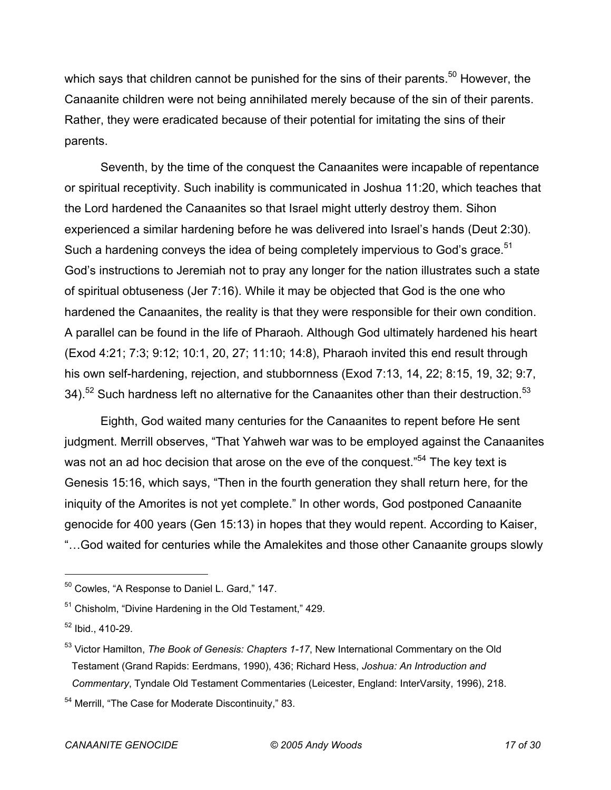which says that children cannot be punished for the sins of their parents.<sup>50</sup> However, the Canaanite children were not being annihilated merely because of the sin of their parents. Rather, they were eradicated because of their potential for imitating the sins of their parents.

Seventh, by the time of the conquest the Canaanites were incapable of repentance or spiritual receptivity. Such inability is communicated in Joshua 11:20, which teaches that the Lord hardened the Canaanites so that Israel might utterly destroy them. Sihon experienced a similar hardening before he was delivered into Israel's hands (Deut 2:30). Such a hardening conveys the idea of being completely impervious to God's grace. $51$ God's instructions to Jeremiah not to pray any longer for the nation illustrates such a state of spiritual obtuseness (Jer 7:16). While it may be objected that God is the one who hardened the Canaanites, the reality is that they were responsible for their own condition. A parallel can be found in the life of Pharaoh. Although God ultimately hardened his heart (Exod 4:21; 7:3; 9:12; 10:1, 20, 27; 11:10; 14:8), Pharaoh invited this end result through his own self-hardening, rejection, and stubbornness (Exod 7:13, 14, 22; 8:15, 19, 32; 9:7, 34).<sup>52</sup> Such hardness left no alternative for the Canaanites other than their destruction.<sup>53</sup>

Eighth, God waited many centuries for the Canaanites to repent before He sent judgment. Merrill observes, "That Yahweh war was to be employed against the Canaanites was not an ad hoc decision that arose on the eve of the conquest."<sup>54</sup> The key text is Genesis 15:16, which says, "Then in the fourth generation they shall return here, for the iniquity of the Amorites is not yet complete." In other words, God postponed Canaanite genocide for 400 years (Gen 15:13) in hopes that they would repent. According to Kaiser, "…God waited for centuries while the Amalekites and those other Canaanite groups slowly

<sup>50</sup> Cowles, "A Response to Daniel L. Gard," 147.

<sup>&</sup>lt;sup>51</sup> Chisholm, "Divine Hardening in the Old Testament," 429.

 $52$  Ibid., 410-29.

<sup>53</sup> Victor Hamilton, *The Book of Genesis: Chapters 1-17*, New International Commentary on the Old Testament (Grand Rapids: Eerdmans, 1990), 436; Richard Hess, *Joshua: An Introduction and Commentary*, Tyndale Old Testament Commentaries (Leicester, England: InterVarsity, 1996), 218.

<sup>&</sup>lt;sup>54</sup> Merrill, "The Case for Moderate Discontinuity," 83.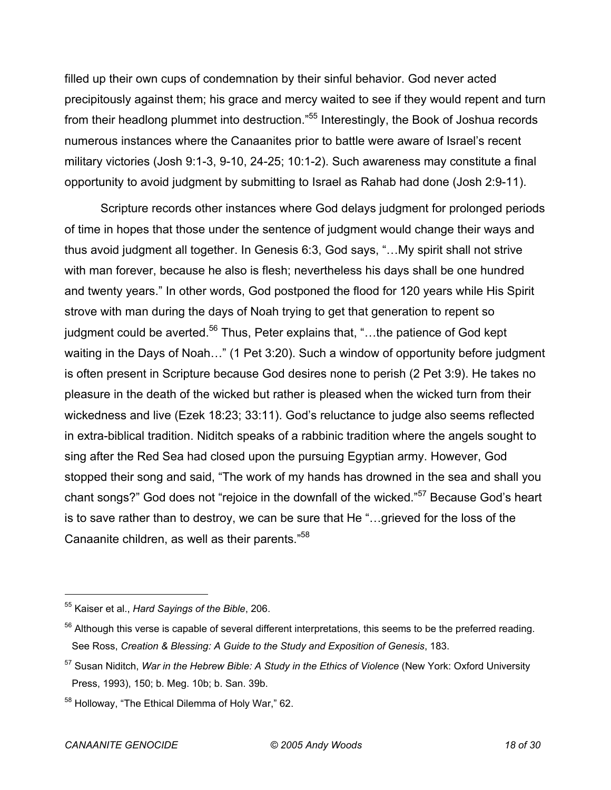filled up their own cups of condemnation by their sinful behavior. God never acted precipitously against them; his grace and mercy waited to see if they would repent and turn from their headlong plummet into destruction."55 Interestingly, the Book of Joshua records numerous instances where the Canaanites prior to battle were aware of Israel's recent military victories (Josh 9:1-3, 9-10, 24-25; 10:1-2). Such awareness may constitute a final opportunity to avoid judgment by submitting to Israel as Rahab had done (Josh 2:9-11).

Scripture records other instances where God delays judgment for prolonged periods of time in hopes that those under the sentence of judgment would change their ways and thus avoid judgment all together. In Genesis 6:3, God says, "…My spirit shall not strive with man forever, because he also is flesh; nevertheless his days shall be one hundred and twenty years." In other words, God postponed the flood for 120 years while His Spirit strove with man during the days of Noah trying to get that generation to repent so judgment could be averted.<sup>56</sup> Thus, Peter explains that, "...the patience of God kept waiting in the Days of Noah…" (1 Pet 3:20). Such a window of opportunity before judgment is often present in Scripture because God desires none to perish (2 Pet 3:9). He takes no pleasure in the death of the wicked but rather is pleased when the wicked turn from their wickedness and live (Ezek 18:23; 33:11). God's reluctance to judge also seems reflected in extra-biblical tradition. Niditch speaks of a rabbinic tradition where the angels sought to sing after the Red Sea had closed upon the pursuing Egyptian army. However, God stopped their song and said, "The work of my hands has drowned in the sea and shall you chant songs?" God does not "rejoice in the downfall of the wicked."<sup>57</sup> Because God's heart is to save rather than to destroy, we can be sure that He "…grieved for the loss of the Canaanite children, as well as their parents."58

<sup>55</sup> Kaiser et al., *Hard Sayings of the Bible*, 206.

<sup>&</sup>lt;sup>56</sup> Although this verse is capable of several different interpretations, this seems to be the preferred reading. See Ross, *Creation & Blessing: A Guide to the Study and Exposition of Genesis*, 183.

<sup>57</sup> Susan Niditch, *War in the Hebrew Bible: A Study in the Ethics of Violence* (New York: Oxford University Press, 1993), 150; b. Meg. 10b; b. San. 39b.

<sup>&</sup>lt;sup>58</sup> Holloway, "The Ethical Dilemma of Holy War," 62.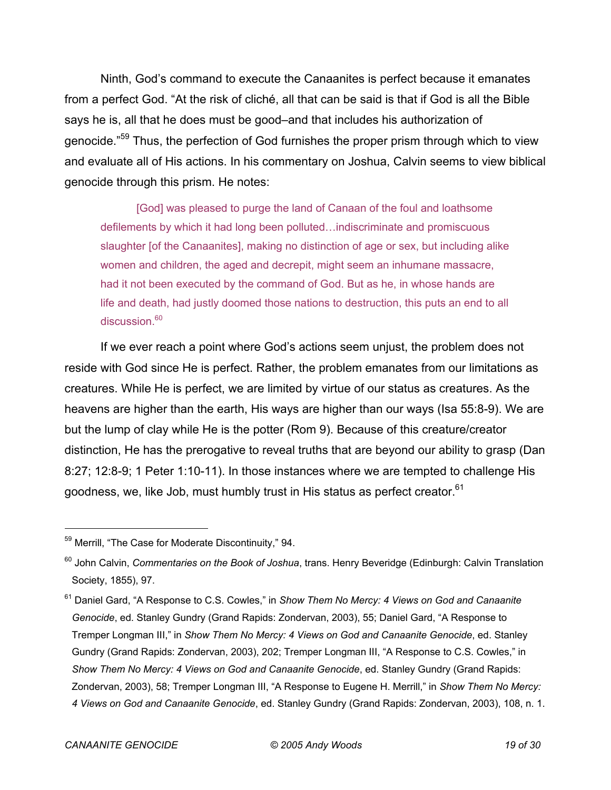Ninth, God's command to execute the Canaanites is perfect because it emanates from a perfect God. "At the risk of cliché, all that can be said is that if God is all the Bible says he is, all that he does must be good–and that includes his authorization of genocide."<sup>59</sup> Thus, the perfection of God furnishes the proper prism through which to view and evaluate all of His actions. In his commentary on Joshua, Calvin seems to view biblical genocide through this prism. He notes:

[God] was pleased to purge the land of Canaan of the foul and loathsome defilements by which it had long been polluted…indiscriminate and promiscuous slaughter [of the Canaanites], making no distinction of age or sex, but including alike women and children, the aged and decrepit, might seem an inhumane massacre, had it not been executed by the command of God. But as he, in whose hands are life and death, had justly doomed those nations to destruction, this puts an end to all discussion.<sup>60</sup>

If we ever reach a point where God's actions seem unjust, the problem does not reside with God since He is perfect. Rather, the problem emanates from our limitations as creatures. While He is perfect, we are limited by virtue of our status as creatures. As the heavens are higher than the earth, His ways are higher than our ways (Isa 55:8-9). We are but the lump of clay while He is the potter (Rom 9). Because of this creature/creator distinction, He has the prerogative to reveal truths that are beyond our ability to grasp (Dan 8:27; 12:8-9; 1 Peter 1:10-11). In those instances where we are tempted to challenge His goodness, we, like Job, must humbly trust in His status as perfect creator. $61$ 

<sup>&</sup>lt;sup>59</sup> Merrill, "The Case for Moderate Discontinuity," 94.

<sup>60</sup> John Calvin, *Commentaries on the Book of Joshua*, trans. Henry Beveridge (Edinburgh: Calvin Translation Society, 1855), 97.

<sup>61</sup> Daniel Gard, "A Response to C.S. Cowles," in *Show Them No Mercy: 4 Views on God and Canaanite Genocide*, ed. Stanley Gundry (Grand Rapids: Zondervan, 2003), 55; Daniel Gard, "A Response to Tremper Longman III," in *Show Them No Mercy: 4 Views on God and Canaanite Genocide*, ed. Stanley Gundry (Grand Rapids: Zondervan, 2003), 202; Tremper Longman III, "A Response to C.S. Cowles," in *Show Them No Mercy: 4 Views on God and Canaanite Genocide*, ed. Stanley Gundry (Grand Rapids: Zondervan, 2003), 58; Tremper Longman III, "A Response to Eugene H. Merrill," in *Show Them No Mercy: 4 Views on God and Canaanite Genocide*, ed. Stanley Gundry (Grand Rapids: Zondervan, 2003), 108, n. 1.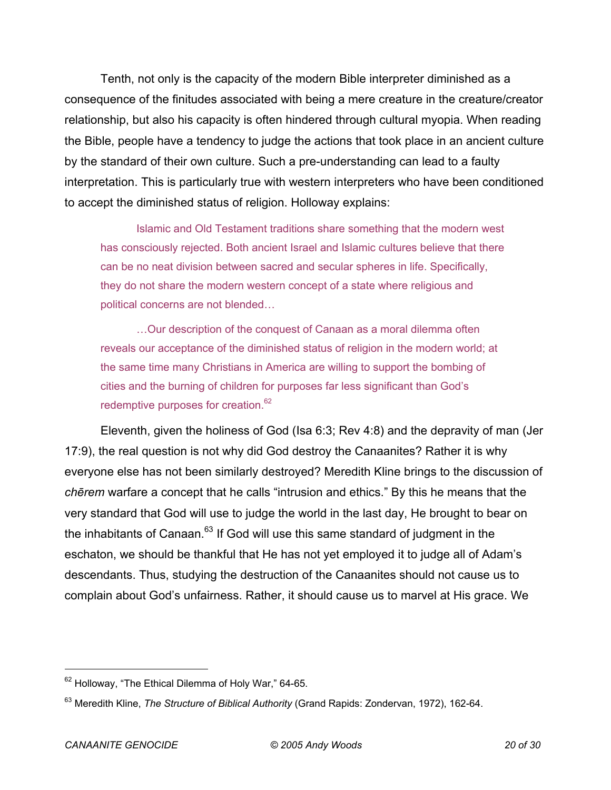Tenth, not only is the capacity of the modern Bible interpreter diminished as a consequence of the finitudes associated with being a mere creature in the creature/creator relationship, but also his capacity is often hindered through cultural myopia. When reading the Bible, people have a tendency to judge the actions that took place in an ancient culture by the standard of their own culture. Such a pre-understanding can lead to a faulty interpretation. This is particularly true with western interpreters who have been conditioned to accept the diminished status of religion. Holloway explains:

Islamic and Old Testament traditions share something that the modern west has consciously rejected. Both ancient Israel and Islamic cultures believe that there can be no neat division between sacred and secular spheres in life. Specifically, they do not share the modern western concept of a state where religious and political concerns are not blended…

…Our description of the conquest of Canaan as a moral dilemma often reveals our acceptance of the diminished status of religion in the modern world; at the same time many Christians in America are willing to support the bombing of cities and the burning of children for purposes far less significant than God's redemptive purposes for creation.<sup>62</sup>

Eleventh, given the holiness of God (Isa 6:3; Rev 4:8) and the depravity of man (Jer 17:9), the real question is not why did God destroy the Canaanites? Rather it is why everyone else has not been similarly destroyed? Meredith Kline brings to the discussion of *chērem* warfare a concept that he calls "intrusion and ethics." By this he means that the very standard that God will use to judge the world in the last day, He brought to bear on the inhabitants of Canaan. $63$  If God will use this same standard of judgment in the eschaton, we should be thankful that He has not yet employed it to judge all of Adam's descendants. Thus, studying the destruction of the Canaanites should not cause us to complain about God's unfairness. Rather, it should cause us to marvel at His grace. We

<sup>&</sup>lt;sup>62</sup> Holloway, "The Ethical Dilemma of Holy War," 64-65.

<sup>63</sup> Meredith Kline, *The Structure of Biblical Authority* (Grand Rapids: Zondervan, 1972), 162-64.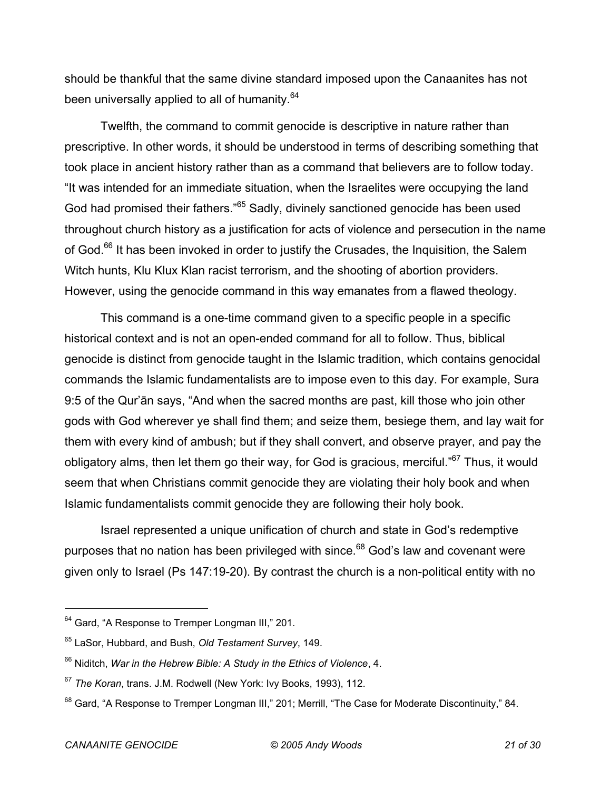should be thankful that the same divine standard imposed upon the Canaanites has not been universally applied to all of humanity.<sup>64</sup>

Twelfth, the command to commit genocide is descriptive in nature rather than prescriptive. In other words, it should be understood in terms of describing something that took place in ancient history rather than as a command that believers are to follow today. "It was intended for an immediate situation, when the Israelites were occupying the land God had promised their fathers."<sup>65</sup> Sadly, divinely sanctioned genocide has been used throughout church history as a justification for acts of violence and persecution in the name of God.<sup>66</sup> It has been invoked in order to justify the Crusades, the Inquisition, the Salem Witch hunts, Klu Klux Klan racist terrorism, and the shooting of abortion providers. However, using the genocide command in this way emanates from a flawed theology.

This command is a one-time command given to a specific people in a specific historical context and is not an open-ended command for all to follow. Thus, biblical genocide is distinct from genocide taught in the Islamic tradition, which contains genocidal commands the Islamic fundamentalists are to impose even to this day. For example, Sura 9:5 of the Qur'ān says, "And when the sacred months are past, kill those who join other gods with God wherever ye shall find them; and seize them, besiege them, and lay wait for them with every kind of ambush; but if they shall convert, and observe prayer, and pay the obligatory alms, then let them go their way, for God is gracious, merciful."<sup>67</sup> Thus, it would seem that when Christians commit genocide they are violating their holy book and when Islamic fundamentalists commit genocide they are following their holy book.

Israel represented a unique unification of church and state in God's redemptive purposes that no nation has been privileged with since.<sup>68</sup> God's law and covenant were given only to Israel (Ps 147:19-20). By contrast the church is a non-political entity with no

<sup>&</sup>lt;sup>64</sup> Gard, "A Response to Tremper Longman III," 201.

<sup>65</sup> LaSor, Hubbard, and Bush, *Old Testament Survey*, 149.

<sup>66</sup> Niditch, *War in the Hebrew Bible: A Study in the Ethics of Violence*, 4.

<sup>67</sup> *The Koran*, trans. J.M. Rodwell (New York: Ivy Books, 1993), 112.

<sup>&</sup>lt;sup>68</sup> Gard, "A Response to Tremper Longman III," 201; Merrill, "The Case for Moderate Discontinuity," 84.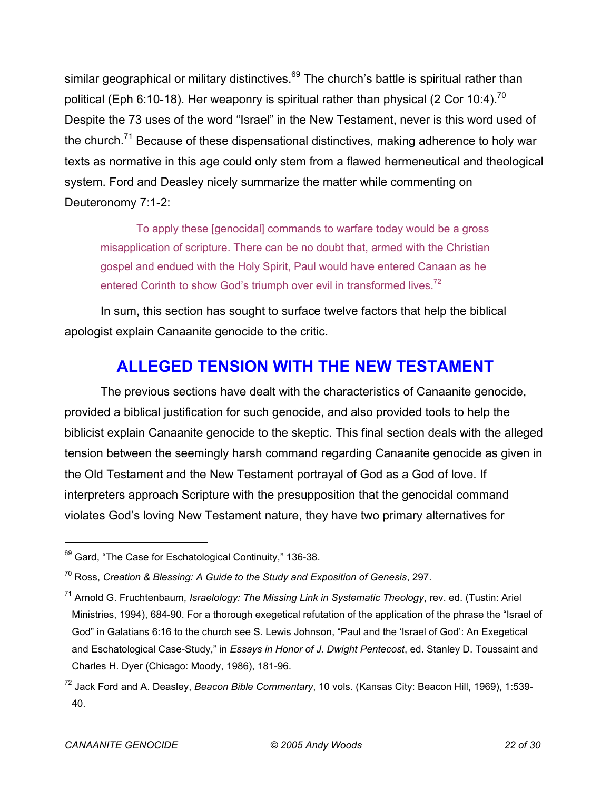similar geographical or military distinctives.<sup>69</sup> The church's battle is spiritual rather than political (Eph 6:10-18). Her weaponry is spiritual rather than physical (2 Cor 10:4).<sup>70</sup> Despite the 73 uses of the word "Israel" in the New Testament, never is this word used of the church.<sup>71</sup> Because of these dispensational distinctives, making adherence to holy war texts as normative in this age could only stem from a flawed hermeneutical and theological system. Ford and Deasley nicely summarize the matter while commenting on Deuteronomy 7:1-2:

To apply these [genocidal] commands to warfare today would be a gross misapplication of scripture. There can be no doubt that, armed with the Christian gospel and endued with the Holy Spirit, Paul would have entered Canaan as he entered Corinth to show God's triumph over evil in transformed lives.<sup>72</sup>

In sum, this section has sought to surface twelve factors that help the biblical apologist explain Canaanite genocide to the critic.

## **ALLEGED TENSION WITH THE NEW TESTAMENT**

The previous sections have dealt with the characteristics of Canaanite genocide, provided a biblical justification for such genocide, and also provided tools to help the biblicist explain Canaanite genocide to the skeptic. This final section deals with the alleged tension between the seemingly harsh command regarding Canaanite genocide as given in the Old Testament and the New Testament portrayal of God as a God of love. If interpreters approach Scripture with the presupposition that the genocidal command violates God's loving New Testament nature, they have two primary alternatives for

<sup>&</sup>lt;sup>69</sup> Gard, "The Case for Eschatological Continuity," 136-38.

<sup>70</sup> Ross, *Creation & Blessing: A Guide to the Study and Exposition of Genesis*, 297.

<sup>71</sup> Arnold G. Fruchtenbaum, *Israelology: The Missing Link in Systematic Theology*, rev. ed. (Tustin: Ariel Ministries, 1994), 684-90. For a thorough exegetical refutation of the application of the phrase the "Israel of God" in Galatians 6:16 to the church see S. Lewis Johnson, "Paul and the 'Israel of God': An Exegetical and Eschatological Case-Study," in *Essays in Honor of J. Dwight Pentecost*, ed. Stanley D. Toussaint and Charles H. Dyer (Chicago: Moody, 1986), 181-96.

<sup>72</sup> Jack Ford and A. Deasley, *Beacon Bible Commentary*, 10 vols. (Kansas City: Beacon Hill, 1969), 1:539- 40.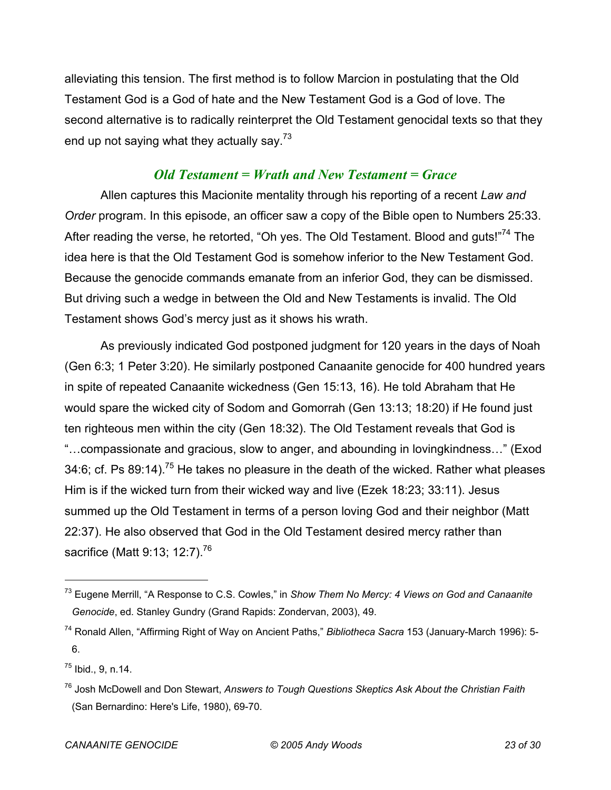alleviating this tension. The first method is to follow Marcion in postulating that the Old Testament God is a God of hate and the New Testament God is a God of love. The second alternative is to radically reinterpret the Old Testament genocidal texts so that they end up not saying what they actually say. $73$ 

#### *Old Testament = Wrath and New Testament = Grace*

Allen captures this Macionite mentality through his reporting of a recent *Law and Order* program. In this episode, an officer saw a copy of the Bible open to Numbers 25:33. After reading the verse, he retorted, "Oh yes. The Old Testament. Blood and guts!"<sup>74</sup> The idea here is that the Old Testament God is somehow inferior to the New Testament God. Because the genocide commands emanate from an inferior God, they can be dismissed. But driving such a wedge in between the Old and New Testaments is invalid. The Old Testament shows God's mercy just as it shows his wrath.

As previously indicated God postponed judgment for 120 years in the days of Noah (Gen 6:3; 1 Peter 3:20). He similarly postponed Canaanite genocide for 400 hundred years in spite of repeated Canaanite wickedness (Gen 15:13, 16). He told Abraham that He would spare the wicked city of Sodom and Gomorrah (Gen 13:13; 18:20) if He found just ten righteous men within the city (Gen 18:32). The Old Testament reveals that God is "…compassionate and gracious, slow to anger, and abounding in lovingkindness…" (Exod 34:6; cf. Ps 89:14).<sup>75</sup> He takes no pleasure in the death of the wicked. Rather what pleases Him is if the wicked turn from their wicked way and live (Ezek 18:23; 33:11). Jesus summed up the Old Testament in terms of a person loving God and their neighbor (Matt 22:37). He also observed that God in the Old Testament desired mercy rather than sacrifice (Matt 9:13; 12:7).<sup>76</sup>

<sup>73</sup> Eugene Merrill, "A Response to C.S. Cowles," in *Show Them No Mercy: 4 Views on God and Canaanite Genocide*, ed. Stanley Gundry (Grand Rapids: Zondervan, 2003), 49.

<sup>74</sup> Ronald Allen, "Affirming Right of Way on Ancient Paths," *Bibliotheca Sacra* 153 (January-March 1996): 5- 6.

 $^{75}$  Ibid., 9, n.14.

<sup>76</sup> Josh McDowell and Don Stewart, *Answers to Tough Questions Skeptics Ask About the Christian Faith* (San Bernardino: Here's Life, 1980), 69-70.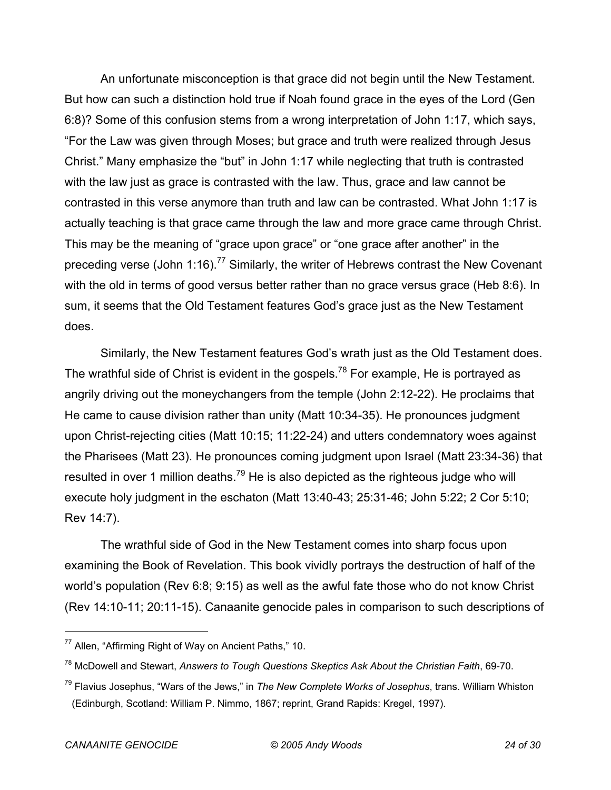An unfortunate misconception is that grace did not begin until the New Testament. But how can such a distinction hold true if Noah found grace in the eyes of the Lord (Gen 6:8)? Some of this confusion stems from a wrong interpretation of John 1:17, which says, "For the Law was given through Moses; but grace and truth were realized through Jesus Christ." Many emphasize the "but" in John 1:17 while neglecting that truth is contrasted with the law just as grace is contrasted with the law. Thus, grace and law cannot be contrasted in this verse anymore than truth and law can be contrasted. What John 1:17 is actually teaching is that grace came through the law and more grace came through Christ. This may be the meaning of "grace upon grace" or "one grace after another" in the preceding verse (John 1:16).<sup>77</sup> Similarly, the writer of Hebrews contrast the New Covenant with the old in terms of good versus better rather than no grace versus grace (Heb 8:6). In sum, it seems that the Old Testament features God's grace just as the New Testament does.

Similarly, the New Testament features God's wrath just as the Old Testament does. The wrathful side of Christ is evident in the gospels.<sup>78</sup> For example, He is portrayed as angrily driving out the moneychangers from the temple (John 2:12-22). He proclaims that He came to cause division rather than unity (Matt 10:34-35). He pronounces judgment upon Christ-rejecting cities (Matt 10:15; 11:22-24) and utters condemnatory woes against the Pharisees (Matt 23). He pronounces coming judgment upon Israel (Matt 23:34-36) that resulted in over 1 million deaths.<sup>79</sup> He is also depicted as the righteous judge who will execute holy judgment in the eschaton (Matt 13:40-43; 25:31-46; John 5:22; 2 Cor 5:10; Rev 14:7).

The wrathful side of God in the New Testament comes into sharp focus upon examining the Book of Revelation. This book vividly portrays the destruction of half of the world's population (Rev 6:8; 9:15) as well as the awful fate those who do not know Christ (Rev 14:10-11; 20:11-15). Canaanite genocide pales in comparison to such descriptions of

<sup>&</sup>lt;sup>77</sup> Allen, "Affirming Right of Way on Ancient Paths," 10.

<sup>78</sup> McDowell and Stewart, *Answers to Tough Questions Skeptics Ask About the Christian Faith*, 69-70.

<sup>79</sup> Flavius Josephus, "Wars of the Jews," in *The New Complete Works of Josephus*, trans. William Whiston (Edinburgh, Scotland: William P. Nimmo, 1867; reprint, Grand Rapids: Kregel, 1997).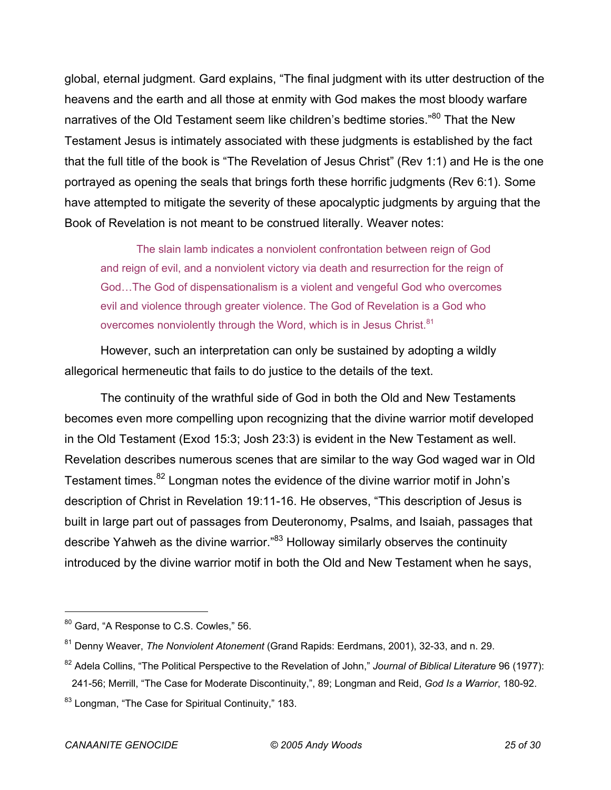global, eternal judgment. Gard explains, "The final judgment with its utter destruction of the heavens and the earth and all those at enmity with God makes the most bloody warfare narratives of the Old Testament seem like children's bedtime stories."<sup>80</sup> That the New Testament Jesus is intimately associated with these judgments is established by the fact that the full title of the book is "The Revelation of Jesus Christ" (Rev 1:1) and He is the one portrayed as opening the seals that brings forth these horrific judgments (Rev 6:1). Some have attempted to mitigate the severity of these apocalyptic judgments by arguing that the Book of Revelation is not meant to be construed literally. Weaver notes:

The slain lamb indicates a nonviolent confrontation between reign of God and reign of evil, and a nonviolent victory via death and resurrection for the reign of God…The God of dispensationalism is a violent and vengeful God who overcomes evil and violence through greater violence. The God of Revelation is a God who overcomes nonviolently through the Word, which is in Jesus Christ.<sup>81</sup>

However, such an interpretation can only be sustained by adopting a wildly allegorical hermeneutic that fails to do justice to the details of the text.

The continuity of the wrathful side of God in both the Old and New Testaments becomes even more compelling upon recognizing that the divine warrior motif developed in the Old Testament (Exod 15:3; Josh 23:3) is evident in the New Testament as well. Revelation describes numerous scenes that are similar to the way God waged war in Old Testament times.<sup>82</sup> Longman notes the evidence of the divine warrior motif in John's description of Christ in Revelation 19:11-16. He observes, "This description of Jesus is built in large part out of passages from Deuteronomy, Psalms, and Isaiah, passages that describe Yahweh as the divine warrior."<sup>83</sup> Holloway similarly observes the continuity introduced by the divine warrior motif in both the Old and New Testament when he says,

<sup>&</sup>lt;sup>80</sup> Gard, "A Response to C.S. Cowles," 56.

<sup>81</sup> Denny Weaver, *The Nonviolent Atonement* (Grand Rapids: Eerdmans, 2001), 32-33, and n. 29.

<sup>82</sup> Adela Collins, "The Political Perspective to the Revelation of John," *Journal of Biblical Literature* 96 (1977): 241-56; Merrill, "The Case for Moderate Discontinuity,", 89; Longman and Reid, *God Is a Warrior*, 180-92.

<sup>&</sup>lt;sup>83</sup> Longman, "The Case for Spiritual Continuity," 183.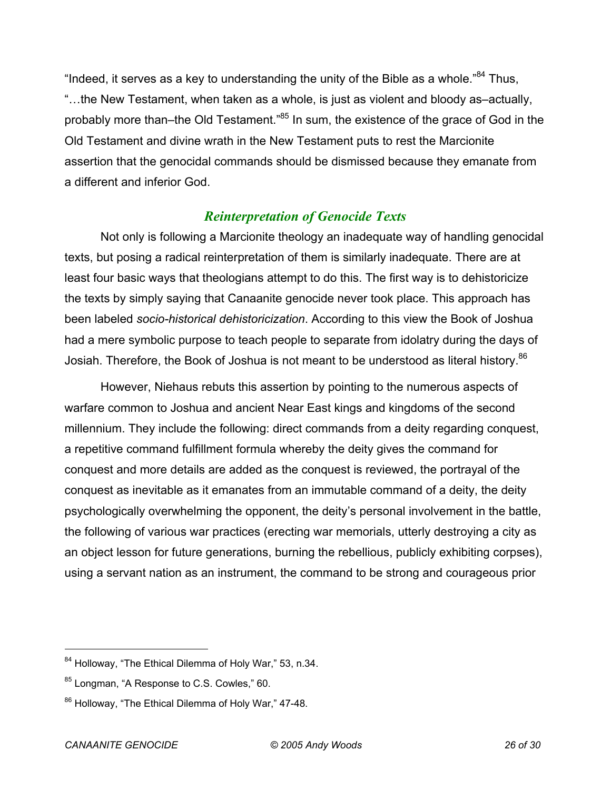"Indeed, it serves as a key to understanding the unity of the Bible as a whole. $^{84}$  Thus, "…the New Testament, when taken as a whole, is just as violent and bloody as–actually, probably more than–the Old Testament."<sup>85</sup> In sum, the existence of the grace of God in the Old Testament and divine wrath in the New Testament puts to rest the Marcionite assertion that the genocidal commands should be dismissed because they emanate from a different and inferior God.

#### *Reinterpretation of Genocide Texts*

Not only is following a Marcionite theology an inadequate way of handling genocidal texts, but posing a radical reinterpretation of them is similarly inadequate. There are at least four basic ways that theologians attempt to do this. The first way is to dehistoricize the texts by simply saying that Canaanite genocide never took place. This approach has been labeled *socio-historical dehistoricization*. According to this view the Book of Joshua had a mere symbolic purpose to teach people to separate from idolatry during the days of Josiah. Therefore, the Book of Joshua is not meant to be understood as literal history.<sup>86</sup>

However, Niehaus rebuts this assertion by pointing to the numerous aspects of warfare common to Joshua and ancient Near East kings and kingdoms of the second millennium. They include the following: direct commands from a deity regarding conquest, a repetitive command fulfillment formula whereby the deity gives the command for conquest and more details are added as the conquest is reviewed, the portrayal of the conquest as inevitable as it emanates from an immutable command of a deity, the deity psychologically overwhelming the opponent, the deity's personal involvement in the battle, the following of various war practices (erecting war memorials, utterly destroying a city as an object lesson for future generations, burning the rebellious, publicly exhibiting corpses), using a servant nation as an instrument, the command to be strong and courageous prior

<sup>84</sup> Holloway, "The Ethical Dilemma of Holy War," 53, n.34.

 $85$  Longman, "A Response to C.S. Cowles," 60.

<sup>86</sup> Holloway, "The Ethical Dilemma of Holy War," 47-48.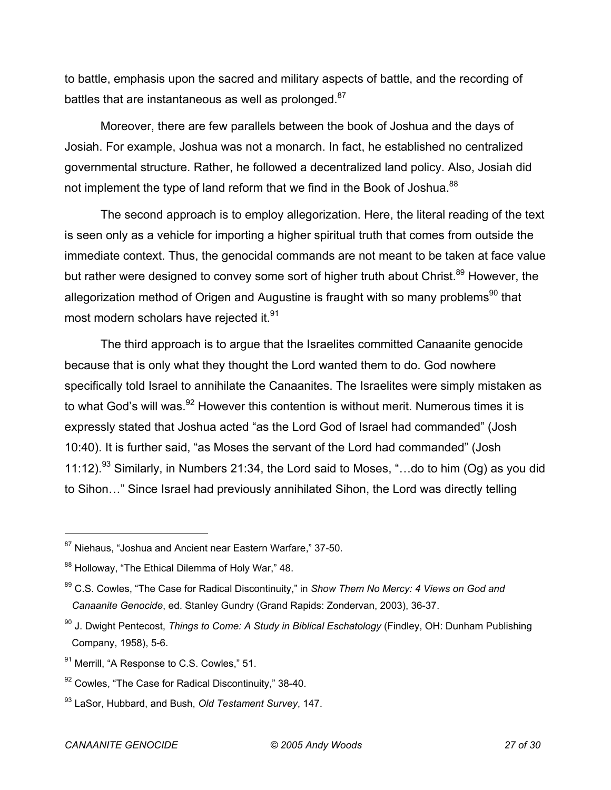to battle, emphasis upon the sacred and military aspects of battle, and the recording of battles that are instantaneous as well as prolonged.<sup>87</sup>

Moreover, there are few parallels between the book of Joshua and the days of Josiah. For example, Joshua was not a monarch. In fact, he established no centralized governmental structure. Rather, he followed a decentralized land policy. Also, Josiah did not implement the type of land reform that we find in the Book of Joshua.<sup>88</sup>

The second approach is to employ allegorization. Here, the literal reading of the text is seen only as a vehicle for importing a higher spiritual truth that comes from outside the immediate context. Thus, the genocidal commands are not meant to be taken at face value but rather were designed to convey some sort of higher truth about Christ.<sup>89</sup> However, the allegorization method of Origen and Augustine is fraught with so many problems<sup>90</sup> that most modern scholars have rejected it.<sup>91</sup>

The third approach is to argue that the Israelites committed Canaanite genocide because that is only what they thought the Lord wanted them to do. God nowhere specifically told Israel to annihilate the Canaanites. The Israelites were simply mistaken as to what God's will was.<sup>92</sup> However this contention is without merit. Numerous times it is expressly stated that Joshua acted "as the Lord God of Israel had commanded" (Josh 10:40). It is further said, "as Moses the servant of the Lord had commanded" (Josh 11:12).<sup>93</sup> Similarly, in Numbers 21:34, the Lord said to Moses, "...do to him (Og) as you did to Sihon…" Since Israel had previously annihilated Sihon, the Lord was directly telling

<sup>&</sup>lt;sup>87</sup> Niehaus, "Joshua and Ancient near Eastern Warfare," 37-50.

<sup>88</sup> Holloway, "The Ethical Dilemma of Holy War," 48.

<sup>89</sup> C.S. Cowles, "The Case for Radical Discontinuity," in *Show Them No Mercy: 4 Views on God and Canaanite Genocide*, ed. Stanley Gundry (Grand Rapids: Zondervan, 2003), 36-37.

<sup>90</sup> J. Dwight Pentecost, *Things to Come: A Study in Biblical Eschatology* (Findley, OH: Dunham Publishing Company, 1958), 5-6.

<sup>&</sup>lt;sup>91</sup> Merrill, "A Response to C.S. Cowles," 51.

<sup>&</sup>lt;sup>92</sup> Cowles, "The Case for Radical Discontinuity," 38-40.

<sup>93</sup> LaSor, Hubbard, and Bush, *Old Testament Survey*, 147.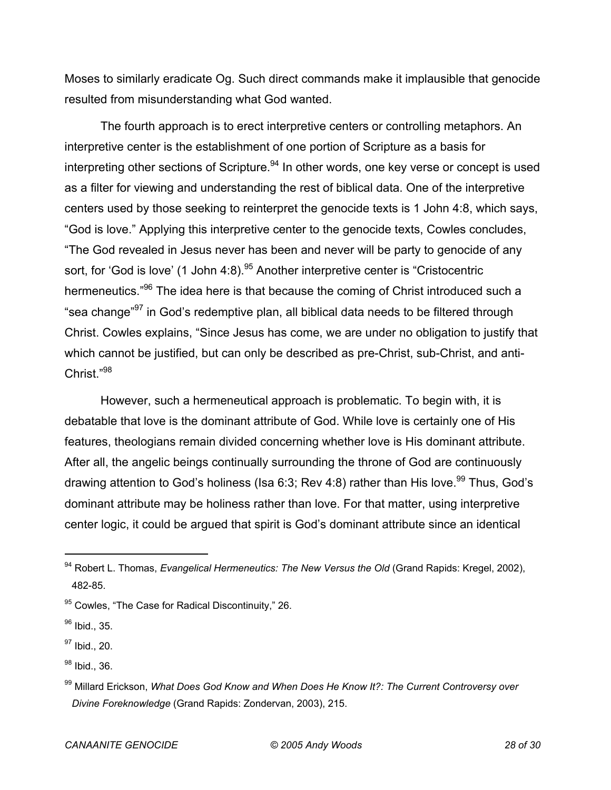Moses to similarly eradicate Og. Such direct commands make it implausible that genocide resulted from misunderstanding what God wanted.

The fourth approach is to erect interpretive centers or controlling metaphors. An interpretive center is the establishment of one portion of Scripture as a basis for interpreting other sections of Scripture.<sup>94</sup> In other words, one key verse or concept is used as a filter for viewing and understanding the rest of biblical data. One of the interpretive centers used by those seeking to reinterpret the genocide texts is 1 John 4:8, which says, "God is love." Applying this interpretive center to the genocide texts, Cowles concludes, "The God revealed in Jesus never has been and never will be party to genocide of any sort, for 'God is love' (1 John  $4:8$ ).<sup>95</sup> Another interpretive center is "Cristocentric hermeneutics."<sup>96</sup> The idea here is that because the coming of Christ introduced such a "sea change"<sup>97</sup> in God's redemptive plan, all biblical data needs to be filtered through Christ. Cowles explains, "Since Jesus has come, we are under no obligation to justify that which cannot be justified, but can only be described as pre-Christ, sub-Christ, and anti-Christ."98

However, such a hermeneutical approach is problematic. To begin with, it is debatable that love is the dominant attribute of God. While love is certainly one of His features, theologians remain divided concerning whether love is His dominant attribute. After all, the angelic beings continually surrounding the throne of God are continuously drawing attention to God's holiness (Isa 6:3; Rev 4:8) rather than His love.<sup>99</sup> Thus, God's dominant attribute may be holiness rather than love. For that matter, using interpretive center logic, it could be argued that spirit is God's dominant attribute since an identical

<sup>94</sup> Robert L. Thomas, *Evangelical Hermeneutics: The New Versus the Old* (Grand Rapids: Kregel, 2002), 482-85.

<sup>&</sup>lt;sup>95</sup> Cowles, "The Case for Radical Discontinuity," 26.

<sup>&</sup>lt;sup>96</sup> Ibid., 35.

 $97$  Ibid., 20.

<sup>&</sup>lt;sup>98</sup> Ibid., 36.

<sup>99</sup> Millard Erickson, *What Does God Know and When Does He Know It?: The Current Controversy over Divine Foreknowledge* (Grand Rapids: Zondervan, 2003), 215.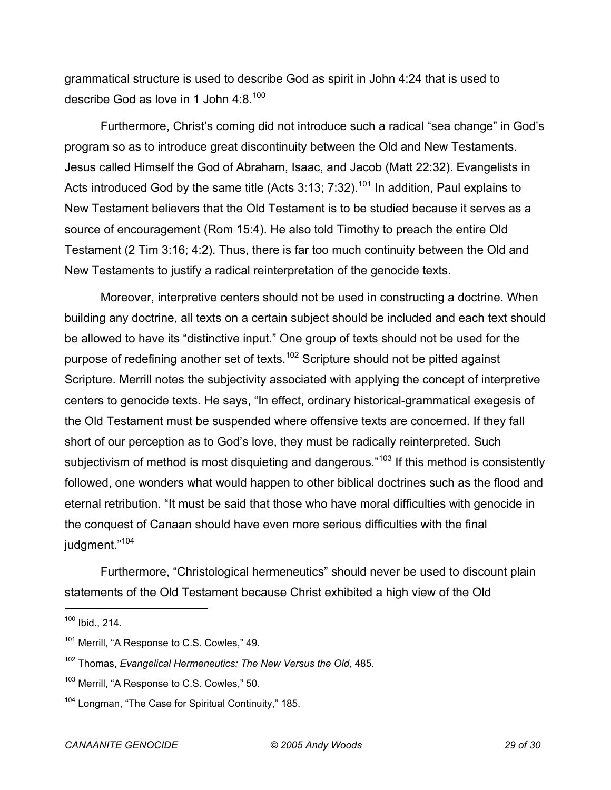grammatical structure is used to describe God as spirit in John 4:24 that is used to describe God as love in 1 John  $4:8.^{100}$ 

Furthermore, Christ's coming did not introduce such a radical "sea change" in God's program so as to introduce great discontinuity between the Old and New Testaments. Jesus called Himself the God of Abraham, Isaac, and Jacob (Matt 22:32). Evangelists in Acts introduced God by the same title (Acts 3:13;  $7:32$ ).<sup>101</sup> In addition, Paul explains to New Testament believers that the Old Testament is to be studied because it serves as a source of encouragement (Rom 15:4). He also told Timothy to preach the entire Old Testament (2 Tim 3:16; 4:2). Thus, there is far too much continuity between the Old and New Testaments to justify a radical reinterpretation of the genocide texts.

Moreover, interpretive centers should not be used in constructing a doctrine. When building any doctrine, all texts on a certain subject should be included and each text should be allowed to have its "distinctive input." One group of texts should not be used for the purpose of redefining another set of texts.<sup>102</sup> Scripture should not be pitted against Scripture. Merrill notes the subjectivity associated with applying the concept of interpretive centers to genocide texts. He says, "In effect, ordinary historical-grammatical exegesis of the Old Testament must be suspended where offensive texts are concerned. If they fall short of our perception as to God's love, they must be radically reinterpreted. Such subjectivism of method is most disquieting and dangerous."<sup>103</sup> If this method is consistently followed, one wonders what would happen to other biblical doctrines such as the flood and eternal retribution. "It must be said that those who have moral difficulties with genocide in the conquest of Canaan should have even more serious difficulties with the final judgment."<sup>104</sup>

Furthermore, "Christological hermeneutics" should never be used to discount plain statements of the Old Testament because Christ exhibited a high view of the Old

<sup>100</sup> Ibid., 214.

<sup>&</sup>lt;sup>101</sup> Merrill, "A Response to C.S. Cowles," 49.

<sup>102</sup> Thomas, *Evangelical Hermeneutics: The New Versus the Old*, 485.

<sup>&</sup>lt;sup>103</sup> Merrill, "A Response to C.S. Cowles," 50.

<sup>&</sup>lt;sup>104</sup> Longman, "The Case for Spiritual Continuity," 185.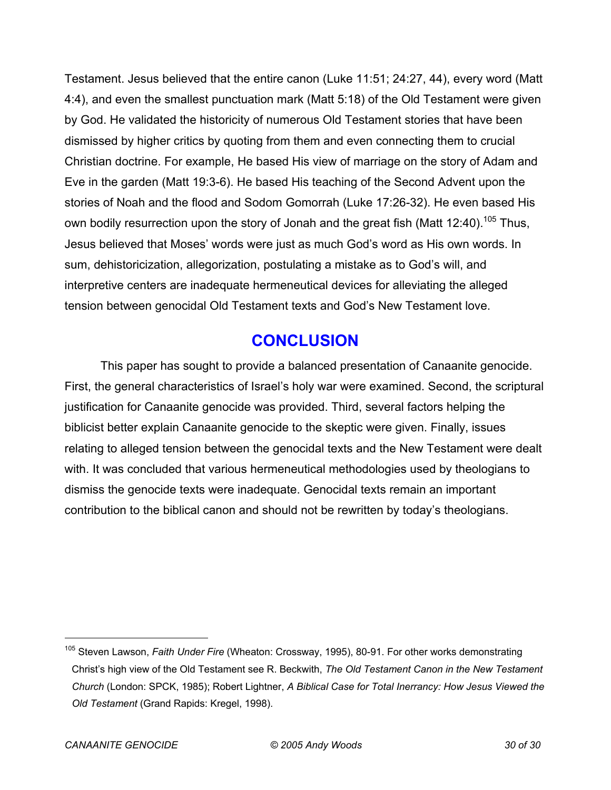Testament. Jesus believed that the entire canon (Luke 11:51; 24:27, 44), every word (Matt 4:4), and even the smallest punctuation mark (Matt 5:18) of the Old Testament were given by God. He validated the historicity of numerous Old Testament stories that have been dismissed by higher critics by quoting from them and even connecting them to crucial Christian doctrine. For example, He based His view of marriage on the story of Adam and Eve in the garden (Matt 19:3-6). He based His teaching of the Second Advent upon the stories of Noah and the flood and Sodom Gomorrah (Luke 17:26-32). He even based His own bodily resurrection upon the story of Jonah and the great fish (Matt 12:40).<sup>105</sup> Thus, Jesus believed that Moses' words were just as much God's word as His own words. In sum, dehistoricization, allegorization, postulating a mistake as to God's will, and interpretive centers are inadequate hermeneutical devices for alleviating the alleged tension between genocidal Old Testament texts and God's New Testament love.

## **CONCLUSION**

This paper has sought to provide a balanced presentation of Canaanite genocide. First, the general characteristics of Israel's holy war were examined. Second, the scriptural justification for Canaanite genocide was provided. Third, several factors helping the biblicist better explain Canaanite genocide to the skeptic were given. Finally, issues relating to alleged tension between the genocidal texts and the New Testament were dealt with. It was concluded that various hermeneutical methodologies used by theologians to dismiss the genocide texts were inadequate. Genocidal texts remain an important contribution to the biblical canon and should not be rewritten by today's theologians.

<sup>105</sup> Steven Lawson, *Faith Under Fire* (Wheaton: Crossway, 1995), 80-91. For other works demonstrating Christ's high view of the Old Testament see R. Beckwith, *The Old Testament Canon in the New Testament Church* (London: SPCK, 1985); Robert Lightner, *A Biblical Case for Total Inerrancy: How Jesus Viewed the Old Testament* (Grand Rapids: Kregel, 1998).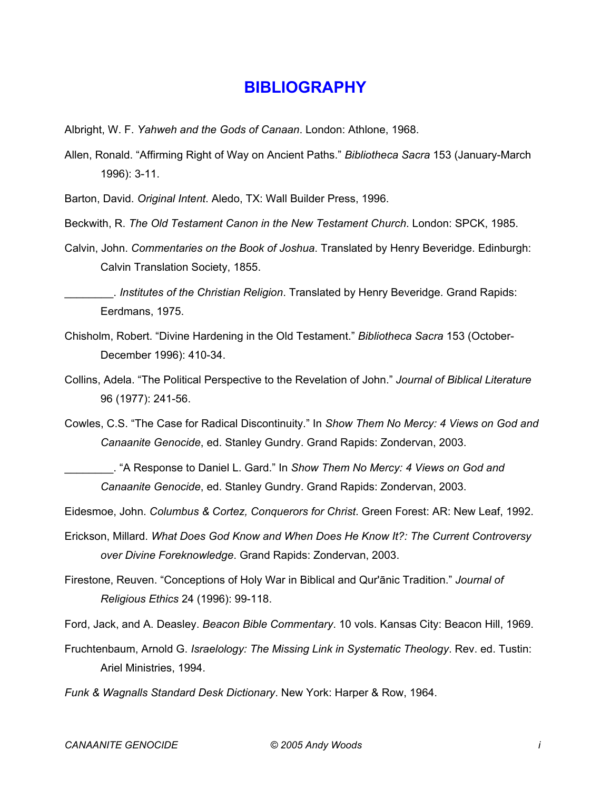#### **BIBLIOGRAPHY**

- Albright, W. F. *Yahweh and the Gods of Canaan*. London: Athlone, 1968.
- Allen, Ronald. "Affirming Right of Way on Ancient Paths." *Bibliotheca Sacra* 153 (January-March 1996): 3-11.

Barton, David. *Original Intent*. Aledo, TX: Wall Builder Press, 1996.

- Beckwith, R. *The Old Testament Canon in the New Testament Church*. London: SPCK, 1985.
- Calvin, John. *Commentaries on the Book of Joshua*. Translated by Henry Beveridge. Edinburgh: Calvin Translation Society, 1855.

\_\_\_\_\_\_\_\_. *Institutes of the Christian Religion*. Translated by Henry Beveridge. Grand Rapids: Eerdmans, 1975.

- Chisholm, Robert. "Divine Hardening in the Old Testament." *Bibliotheca Sacra* 153 (October-December 1996): 410-34.
- Collins, Adela. "The Political Perspective to the Revelation of John." *Journal of Biblical Literature* 96 (1977): 241-56.
- Cowles, C.S. "The Case for Radical Discontinuity." In *Show Them No Mercy: 4 Views on God and Canaanite Genocide*, ed. Stanley Gundry. Grand Rapids: Zondervan, 2003.

\_\_\_\_\_\_\_\_. "A Response to Daniel L. Gard." In *Show Them No Mercy: 4 Views on God and Canaanite Genocide*, ed. Stanley Gundry. Grand Rapids: Zondervan, 2003.

Eidesmoe, John. *Columbus & Cortez, Conquerors for Christ*. Green Forest: AR: New Leaf, 1992.

- Erickson, Millard. *What Does God Know and When Does He Know It?: The Current Controversy over Divine Foreknowledge*. Grand Rapids: Zondervan, 2003.
- Firestone, Reuven. "Conceptions of Holy War in Biblical and Qur'ānic Tradition." *Journal of Religious Ethics* 24 (1996): 99-118.

Ford, Jack, and A. Deasley. *Beacon Bible Commentary*. 10 vols. Kansas City: Beacon Hill, 1969.

Fruchtenbaum, Arnold G. *Israelology: The Missing Link in Systematic Theology*. Rev. ed. Tustin: Ariel Ministries, 1994.

*Funk & Wagnalls Standard Desk Dictionary*. New York: Harper & Row, 1964.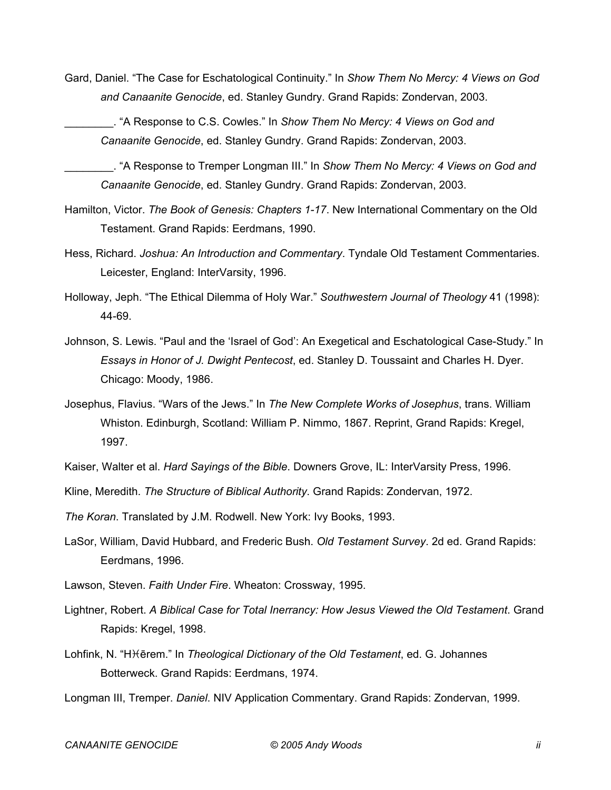Gard, Daniel. "The Case for Eschatological Continuity." In *Show Them No Mercy: 4 Views on God and Canaanite Genocide*, ed. Stanley Gundry. Grand Rapids: Zondervan, 2003.

\_\_\_\_\_\_\_\_. "A Response to C.S. Cowles." In *Show Them No Mercy: 4 Views on God and Canaanite Genocide*, ed. Stanley Gundry. Grand Rapids: Zondervan, 2003.

\_\_\_\_\_\_\_\_. "A Response to Tremper Longman III." In *Show Them No Mercy: 4 Views on God and Canaanite Genocide*, ed. Stanley Gundry. Grand Rapids: Zondervan, 2003.

- Hamilton, Victor. *The Book of Genesis: Chapters 1-17*. New International Commentary on the Old Testament. Grand Rapids: Eerdmans, 1990.
- Hess, Richard. *Joshua: An Introduction and Commentary*. Tyndale Old Testament Commentaries. Leicester, England: InterVarsity, 1996.
- Holloway, Jeph. "The Ethical Dilemma of Holy War." *Southwestern Journal of Theology* 41 (1998): 44-69.
- Johnson, S. Lewis. "Paul and the 'Israel of God': An Exegetical and Eschatological Case-Study." In *Essays in Honor of J. Dwight Pentecost*, ed. Stanley D. Toussaint and Charles H. Dyer. Chicago: Moody, 1986.
- Josephus, Flavius. "Wars of the Jews." In *The New Complete Works of Josephus*, trans. William Whiston. Edinburgh, Scotland: William P. Nimmo, 1867. Reprint, Grand Rapids: Kregel, 1997.
- Kaiser, Walter et al. *Hard Sayings of the Bible*. Downers Grove, IL: InterVarsity Press, 1996.

Kline, Meredith. *The Structure of Biblical Authority*. Grand Rapids: Zondervan, 1972.

*The Koran*. Translated by J.M. Rodwell. New York: Ivy Books, 1993.

- LaSor, William, David Hubbard, and Frederic Bush. *Old Testament Survey*. 2d ed. Grand Rapids: Eerdmans, 1996.
- Lawson, Steven. *Faith Under Fire*. Wheaton: Crossway, 1995.
- Lightner, Robert. *A Biblical Case for Total Inerrancy: How Jesus Viewed the Old Testament*. Grand Rapids: Kregel, 1998.
- Lohfink, N. "H<sub>iterem</sub>." In *Theological Dictionary of the Old Testament*, ed. G. Johannes Botterweck. Grand Rapids: Eerdmans, 1974.
- Longman III, Tremper. *Daniel*. NIV Application Commentary. Grand Rapids: Zondervan, 1999.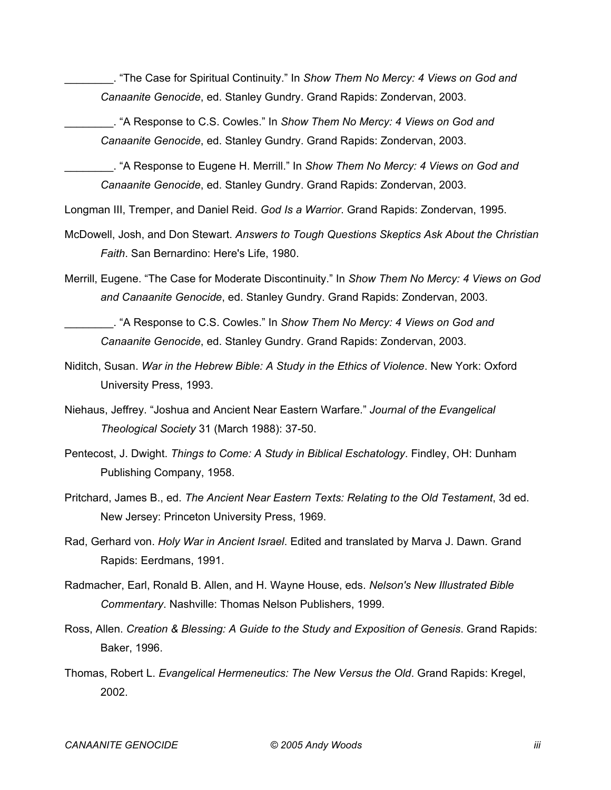\_\_\_\_\_\_\_\_. "The Case for Spiritual Continuity." In *Show Them No Mercy: 4 Views on God and Canaanite Genocide*, ed. Stanley Gundry. Grand Rapids: Zondervan, 2003.

\_\_\_\_\_\_\_\_. "A Response to C.S. Cowles." In *Show Them No Mercy: 4 Views on God and Canaanite Genocide*, ed. Stanley Gundry. Grand Rapids: Zondervan, 2003.

\_\_\_\_\_\_\_\_. "A Response to Eugene H. Merrill." In *Show Them No Mercy: 4 Views on God and Canaanite Genocide*, ed. Stanley Gundry. Grand Rapids: Zondervan, 2003.

Longman III, Tremper, and Daniel Reid. *God Is a Warrior*. Grand Rapids: Zondervan, 1995.

- McDowell, Josh, and Don Stewart. *Answers to Tough Questions Skeptics Ask About the Christian Faith*. San Bernardino: Here's Life, 1980.
- Merrill, Eugene. "The Case for Moderate Discontinuity." In *Show Them No Mercy: 4 Views on God and Canaanite Genocide*, ed. Stanley Gundry. Grand Rapids: Zondervan, 2003.

\_\_\_\_\_\_\_\_. "A Response to C.S. Cowles." In *Show Them No Mercy: 4 Views on God and Canaanite Genocide*, ed. Stanley Gundry. Grand Rapids: Zondervan, 2003.

- Niditch, Susan. *War in the Hebrew Bible: A Study in the Ethics of Violence*. New York: Oxford University Press, 1993.
- Niehaus, Jeffrey. "Joshua and Ancient Near Eastern Warfare." *Journal of the Evangelical Theological Society* 31 (March 1988): 37-50.
- Pentecost, J. Dwight. *Things to Come: A Study in Biblical Eschatology*. Findley, OH: Dunham Publishing Company, 1958.
- Pritchard, James B., ed. *The Ancient Near Eastern Texts: Relating to the Old Testament*, 3d ed. New Jersey: Princeton University Press, 1969.
- Rad, Gerhard von. *Holy War in Ancient Israel*. Edited and translated by Marva J. Dawn. Grand Rapids: Eerdmans, 1991.
- Radmacher, Earl, Ronald B. Allen, and H. Wayne House, eds. *Nelson's New Illustrated Bible Commentary*. Nashville: Thomas Nelson Publishers, 1999.
- Ross, Allen. *Creation & Blessing: A Guide to the Study and Exposition of Genesis*. Grand Rapids: Baker, 1996.
- Thomas, Robert L. *Evangelical Hermeneutics: The New Versus the Old*. Grand Rapids: Kregel, 2002.